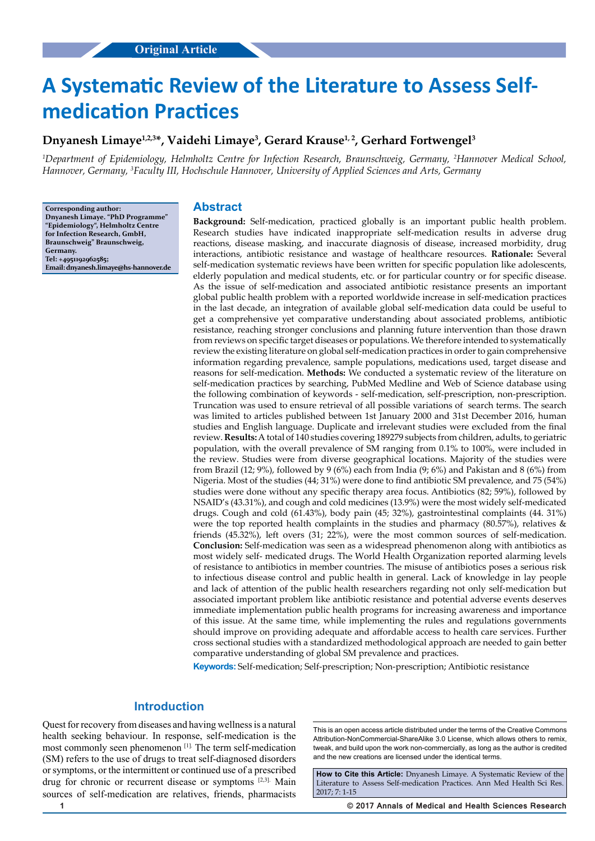# **A Systematic Review of the Literature to Assess Selfmedication Practices**

# **Dnyanesh Limaye1,2,3\*, Vaidehi Limaye3 , Gerard Krause1, 2, Gerhard Fortwengel3**

*1 Department of Epidemiology, Helmholtz Centre for Infection Research, Braunschweig, Germany, 2 Hannover Medical School, Hannover, Germany, 3 Faculty III, Hochschule Hannover, University of Applied Sciences and Arts, Germany*

**Corresponding author: Dnyanesh Limaye. "PhD Programme" "Epidemiology", Helmholtz Centre for Infection Research, GmbH, Braunschweig" Braunschweig, Germany. Tel: +4951192962585; Email: dnyanesh.limaye@hs-hannover.de**

#### **Abstract**

**Background:** Self-medication, practiced globally is an important public health problem. Research studies have indicated inappropriate self-medication results in adverse drug reactions, disease masking, and inaccurate diagnosis of disease, increased morbidity, drug interactions, antibiotic resistance and wastage of healthcare resources. **Rationale:** Several self-medication systematic reviews have been written for specific population like adolescents, elderly population and medical students, etc. or for particular country or for specific disease. As the issue of self-medication and associated antibiotic resistance presents an important global public health problem with a reported worldwide increase in self-medication practices in the last decade, an integration of available global self-medication data could be useful to get a comprehensive yet comparative understanding about associated problems, antibiotic resistance, reaching stronger conclusions and planning future intervention than those drawn from reviews on specific target diseases or populations. We therefore intended to systematically review the existing literature on global self-medication practices in order to gain comprehensive information regarding prevalence, sample populations, medications used, target disease and reasons for self-medication. **Methods:** We conducted a systematic review of the literature on self-medication practices by searching, PubMed Medline and Web of Science database using the following combination of keywords - self-medication, self-prescription, non-prescription. Truncation was used to ensure retrieval of all possible variations of search terms. The search was limited to articles published between 1st January 2000 and 31st December 2016, human studies and English language. Duplicate and irrelevant studies were excluded from the final review. **Results:** A total of 140 studies covering 189279 subjects from children, adults, to geriatric population, with the overall prevalence of SM ranging from 0.1% to 100%, were included in the review. Studies were from diverse geographical locations. Majority of the studies were from Brazil (12; 9%), followed by 9 (6%) each from India (9; 6%) and Pakistan and 8 (6%) from Nigeria. Most of the studies (44; 31%) were done to find antibiotic SM prevalence, and 75 (54%) studies were done without any specific therapy area focus. Antibiotics (82; 59%), followed by NSAID's (43.31%), and cough and cold medicines (13.9%) were the most widely self-medicated drugs. Cough and cold (61.43%), body pain (45; 32%), gastrointestinal complaints (44. 31%) were the top reported health complaints in the studies and pharmacy (80.57%), relatives & friends (45.32%), left overs (31; 22%), were the most common sources of self-medication. **Conclusion:** Self-medication was seen as a widespread phenomenon along with antibiotics as most widely self- medicated drugs. The World Health Organization reported alarming levels of resistance to antibiotics in member countries. The misuse of antibiotics poses a serious risk to infectious disease control and public health in general. Lack of knowledge in lay people and lack of attention of the public health researchers regarding not only self-medication but associated important problem like antibiotic resistance and potential adverse events deserves immediate implementation public health programs for increasing awareness and importance of this issue. At the same time, while implementing the rules and regulations governments should improve on providing adequate and affordable access to health care services. Further cross sectional studies with a standardized methodological approach are needed to gain better comparative understanding of global SM prevalence and practices.

**Keywords:** Self-medication; Self-prescription; Non-prescription; Antibiotic resistance

# **Introduction**

Quest for recovery from diseases and having wellness is a natural health seeking behaviour. In response, self-medication is the most commonly seen phenomenon [1]. The term self-medication (SM) refers to the use of drugs to treat self-diagnosed disorders or symptoms, or the intermittent or continued use of a prescribed drug for chronic or recurrent disease or symptoms [2,3]. Main sources of self-medication are relatives, friends, pharmacists

This is an open access article distributed under the terms of the Creative Commons Attribution-NonCommercial-ShareAlike 3.0 License, which allows others to remix, tweak, and build upon the work non‑commercially, as long as the author is credited and the new creations are licensed under the identical terms.

**How to Cite this Article:** Dnyanesh Limaye. A Systematic Review of the Literature to Assess Self-medication Practices. Ann Med Health Sci Res. 2017; 7: 1-15

**1 © 2017 Annals of Medical and Health Sciences Research**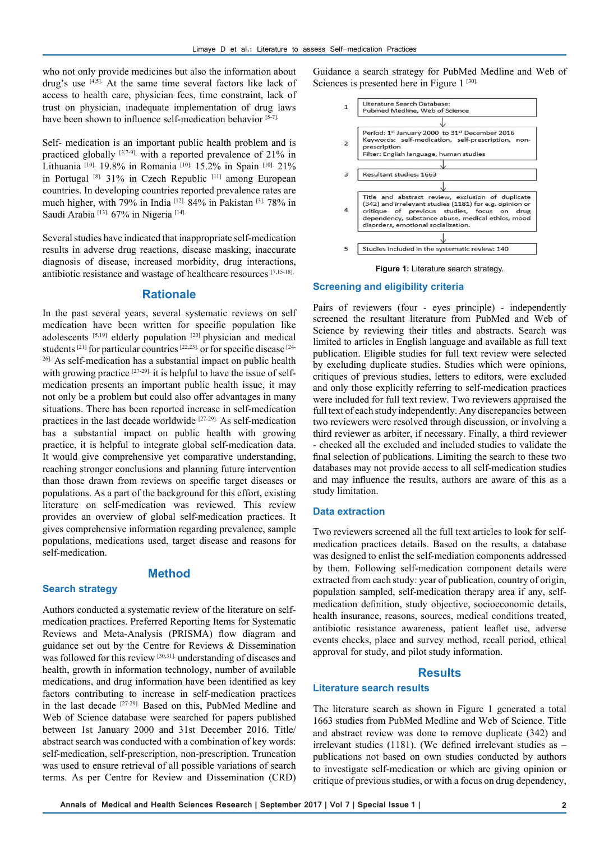who not only provide medicines but also the information about drug's use  $[4,5]$ . At the same time several factors like lack of access to health care, physician fees, time constraint, lack of trust on physician, inadequate implementation of drug laws have been shown to influence self-medication behavior [5-7].

Self- medication is an important public health problem and is practiced globally [3,7-9]. with a reported prevalence of 21% in Lithuania <sup>[10]</sup>. 19.8% in Romania <sup>[10].</sup> 15.2% in Spain <sup>[10].</sup> 21% in Portugal [8]. 31% in Czech Republic [11] among European countries. In developing countries reported prevalence rates are much higher, with 79% in India [12]. 84% in Pakistan [3]. 78% in Saudi Arabia<sup>[13]</sup>. 67% in Nigeria<sup>[14].</sup>

Several studies have indicated that inappropriate self-medication results in adverse drug reactions, disease masking, inaccurate diagnosis of disease, increased morbidity, drug interactions, antibiotic resistance and wastage of healthcare resources [7,15-18].

## **Rationale**

In the past several years, several systematic reviews on self medication have been written for specific population like adolescents [5,19] elderly population [20] physician and medical students <sup>[21]</sup> for particular countries <sup>[22,23]</sup> or for specific disease <sup>[24-1</sup>] 26]. As self-medication has a substantial impact on public health with growing practice [27-29]. it is helpful to have the issue of selfmedication presents an important public health issue, it may not only be a problem but could also offer advantages in many situations. There has been reported increase in self-medication practices in the last decade worldwide [27-29]. As self-medication has a substantial impact on public health with growing practice, it is helpful to integrate global self-medication data. It would give comprehensive yet comparative understanding, reaching stronger conclusions and planning future intervention than those drawn from reviews on specific target diseases or populations. As a part of the background for this effort, existing literature on self-medication was reviewed. This review provides an overview of global self-medication practices. It gives comprehensive information regarding prevalence, sample populations, medications used, target disease and reasons for self-medication.

#### **Method**

#### **Search strategy**

Authors conducted a systematic review of the literature on selfmedication practices. Preferred Reporting Items for Systematic Reviews and Meta-Analysis (PRISMA) flow diagram and guidance set out by the Centre for Reviews & Dissemination was followed for this review [30,31]. understanding of diseases and health, growth in information technology, number of available medications, and drug information have been identified as key factors contributing to increase in self-medication practices in the last decade [27-29]. Based on this, PubMed Medline and Web of Science database were searched for papers published between 1st January 2000 and 31st December 2016. Title/ abstract search was conducted with a combination of key words: self-medication, self-prescription, non-prescription. Truncation was used to ensure retrieval of all possible variations of search terms. As per Centre for Review and Dissemination (CRD) Guidance a search strategy for PubMed Medline and Web of Sciences is presented here in Figure 1<sup>[30].</sup>



#### **Figure 1:** Literature search strategy.

#### **Screening and eligibility criteria**

Pairs of reviewers (four - eyes principle) - independently screened the resultant literature from PubMed and Web of Science by reviewing their titles and abstracts. Search was limited to articles in English language and available as full text publication. Eligible studies for full text review were selected by excluding duplicate studies. Studies which were opinions, critiques of previous studies, letters to editors, were excluded and only those explicitly referring to self-medication practices were included for full text review. Two reviewers appraised the full text of each study independently. Any discrepancies between two reviewers were resolved through discussion, or involving a third reviewer as arbiter, if necessary. Finally, a third reviewer - checked all the excluded and included studies to validate the final selection of publications. Limiting the search to these two databases may not provide access to all self-medication studies and may influence the results, authors are aware of this as a study limitation.

#### **Data extraction**

Two reviewers screened all the full text articles to look for selfmedication practices details. Based on the results, a database was designed to enlist the self-mediation components addressed by them. Following self-medication component details were extracted from each study: year of publication, country of origin, population sampled, self-medication therapy area if any, selfmedication definition, study objective, socioeconomic details, health insurance, reasons, sources, medical conditions treated, antibiotic resistance awareness, patient leaflet use, adverse events checks, place and survey method, recall period, ethical approval for study, and pilot study information.

#### **Results**

#### **Literature search results**

The literature search as shown in Figure 1 generated a total 1663 studies from PubMed Medline and Web of Science. Title and abstract review was done to remove duplicate (342) and irrelevant studies (1181). (We defined irrelevant studies as – publications not based on own studies conducted by authors to investigate self-medication or which are giving opinion or critique of previous studies, or with a focus on drug dependency,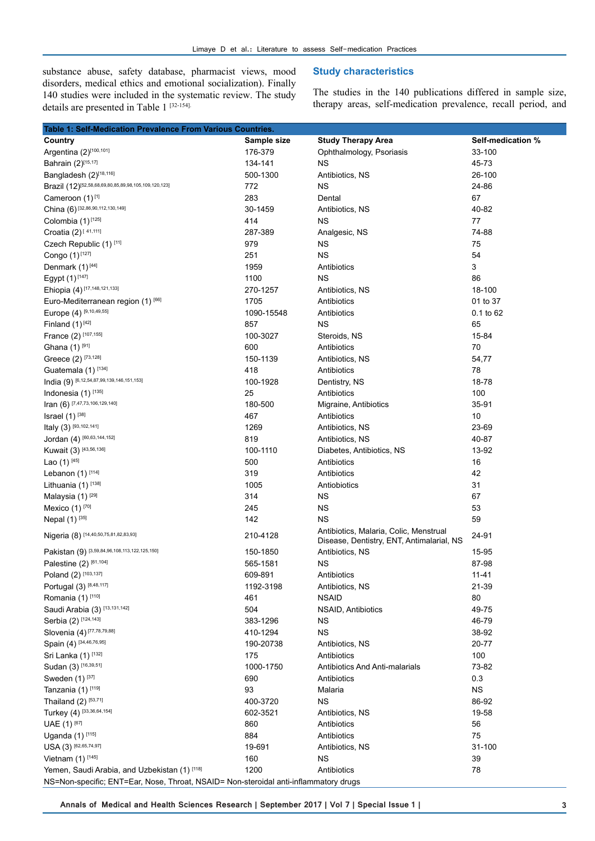substance abuse, safety database, pharmacist views, mood disorders, medical ethics and emotional socialization). Finally 140 studies were included in the systematic review. The study details are presented in Table 1 [32-154].

## **Study characteristics**

The studies in the 140 publications differed in sample size, therapy areas, self-medication prevalence, recall period, and

| Table 1: Self-Medication Prevalence From Various Countries.                          |             |                                                                                     |                   |  |  |
|--------------------------------------------------------------------------------------|-------------|-------------------------------------------------------------------------------------|-------------------|--|--|
| Country                                                                              | Sample size | <b>Study Therapy Area</b>                                                           | Self-medication % |  |  |
| Argentina (2)[100,101]                                                               | 176-379     | Ophthalmology, Psoriasis                                                            | 33-100            |  |  |
| Bahrain (2)[15,17]                                                                   | 134-141     | ΝS                                                                                  | 45-73             |  |  |
| Bangladesh (2)[18,116]                                                               | 500-1300    | Antibiotics, NS                                                                     | 26-100            |  |  |
| Brazil (12) <sup>[52,58,68,69,80,85,89,98,105,109,120,123]</sup>                     | 772         | <b>NS</b>                                                                           | 24-86             |  |  |
| Cameroon (1)[1]                                                                      | 283         | Dental                                                                              | 67                |  |  |
| China (6) [32,86,90,112,130,149]                                                     | 30-1459     | Antibiotics, NS                                                                     | 40-82             |  |  |
| Colombia (1)[125]                                                                    | 414         | <b>NS</b>                                                                           | 77                |  |  |
| Croatia $(2)^{[41,111]}$                                                             | 287-389     | Analgesic, NS                                                                       | 74-88             |  |  |
| Czech Republic (1) [11]                                                              | 979         | <b>NS</b>                                                                           | 75                |  |  |
| Congo (1)[127]                                                                       | 251         | <b>NS</b>                                                                           | 54                |  |  |
| Denmark (1) <sup>[44]</sup>                                                          | 1959        | Antibiotics                                                                         | 3                 |  |  |
| Egypt (1)[147]                                                                       | 1100        | <b>NS</b>                                                                           | 86                |  |  |
| Ehiopia (4) [17,148,121,133]                                                         | 270-1257    | Antibiotics, NS                                                                     | 18-100            |  |  |
| Euro-Mediterranean region (1) [66]                                                   | 1705        | Antibiotics                                                                         | 01 to 37          |  |  |
| Europe (4) [9,10,49,55]                                                              | 1090-15548  | Antibiotics                                                                         | $0.1$ to 62       |  |  |
| Finland $(1)$ <sup>[42]</sup>                                                        | 857         | <b>NS</b>                                                                           | 65                |  |  |
| France (2) [107,155]                                                                 | 100-3027    | Steroids, NS                                                                        | 15-84             |  |  |
| Ghana (1) <sup>[91]</sup>                                                            | 600         | Antibiotics                                                                         | 70                |  |  |
| Greece (2) [73,128]                                                                  | 150-1139    | Antibiotics, NS                                                                     | 54,77             |  |  |
| Guatemala (1) <sup>[134]</sup>                                                       | 418         | Antibiotics                                                                         | 78                |  |  |
| India (9) [6,12,54,87,99,139,146,151,153]                                            | 100-1928    | Dentistry, NS                                                                       | 18-78             |  |  |
| Indonesia (1) [135]                                                                  | 25          | Antibiotics                                                                         | 100               |  |  |
| Iran (6) [7,47,73,106,129,140]                                                       | 180-500     |                                                                                     | 35-91             |  |  |
| Israel $(1)$ <sup>[38]</sup>                                                         | 467         | Migraine, Antibiotics                                                               | 10                |  |  |
| Italy (3) [93,102,141]                                                               |             | Antibiotics                                                                         |                   |  |  |
| Jordan (4) [60,63,144,152]                                                           | 1269        | Antibiotics, NS                                                                     | 23-69             |  |  |
|                                                                                      | 819         | Antibiotics, NS                                                                     | 40-87             |  |  |
| Kuwait (3) [43,56,136]                                                               | 100-1110    | Diabetes, Antibiotics, NS                                                           | 13-92             |  |  |
| Lao $(1)$ <sup>[45]</sup>                                                            | 500         | Antibiotics                                                                         | 16                |  |  |
| Lebanon (1) [114]                                                                    | 319         | Antibiotics                                                                         | 42                |  |  |
| Lithuania (1) [138]                                                                  | 1005        | Antiobiotics                                                                        | 31                |  |  |
| Malaysia (1) <sup>[29]</sup>                                                         | 314         | <b>NS</b>                                                                           | 67                |  |  |
| Mexico (1) <sup>[70]</sup>                                                           | 245         | <b>NS</b>                                                                           | 53                |  |  |
| Nepal (1) <sup>[35]</sup>                                                            | 142         | <b>NS</b>                                                                           | 59                |  |  |
| Nigeria (8) [14,40,50,75,81,82,83,93]                                                | 210-4128    | Antibiotics, Malaria, Colic, Menstrual<br>Disease, Dentistry, ENT, Antimalarial, NS | 24-91             |  |  |
| Pakistan (9) [3,59,84,96,108,113,122,125,150]                                        | 150-1850    | Antibiotics, NS                                                                     | 15-95             |  |  |
| Palestine (2) [61,104]                                                               | 565-1581    | <b>NS</b>                                                                           | 87-98             |  |  |
| Poland (2) [103,137]                                                                 | 609-891     | Antibiotics                                                                         | $11 - 41$         |  |  |
| Portugal (3) [8,48,117]                                                              | 1192-3198   | Antibiotics, NS                                                                     | 21-39             |  |  |
| Romania (1) [110]                                                                    | 461         | <b>NSAID</b>                                                                        | 80                |  |  |
| Saudi Arabia (3) [13,131,142]                                                        | 504         | NSAID, Antibiotics                                                                  | 49-75             |  |  |
| Serbia (2) [124,143]                                                                 | 383-1296    | ΝS                                                                                  | 46-79             |  |  |
| Slovenia (4) [77,78,79,88]                                                           | 410-1294    | <b>NS</b>                                                                           | 38-92             |  |  |
| Spain (4) [34,46,76,95]                                                              | 190-20738   | Antibiotics, NS                                                                     | 20-77             |  |  |
| Sri Lanka (1) [132]                                                                  | 175         | Antibiotics                                                                         | 100               |  |  |
| Sudan (3) [16,39,51]                                                                 | 1000-1750   | <b>Antibiotics And Anti-malarials</b>                                               | 73-82             |  |  |
| Sweden (1) [37]                                                                      | 690         | Antibiotics                                                                         | 0.3               |  |  |
| Tanzania (1) [119]                                                                   | 93          | Malaria                                                                             | <b>NS</b>         |  |  |
| Thailand (2) [53,71]                                                                 | 400-3720    | <b>NS</b>                                                                           | 86-92             |  |  |
| Turkey (4) [33,36,64,154]                                                            | 602-3521    | Antibiotics, NS                                                                     | 19-58             |  |  |
| UAE (1) [67]                                                                         | 860         | Antibiotics                                                                         | 56                |  |  |
| Uganda (1) [115]                                                                     | 884         | Antibiotics                                                                         | 75                |  |  |
| USA (3) [62,65,74,97]                                                                | 19-691      | Antibiotics, NS                                                                     | 31-100            |  |  |
| Vietnam $(1)$ [145]                                                                  | 160         | <b>NS</b>                                                                           | 39                |  |  |
| Yemen, Saudi Arabia, and Uzbekistan (1) [118]                                        | 1200        | Antibiotics                                                                         | 78                |  |  |
| NS=Non-specific; ENT=Ear, Nose, Throat, NSAID= Non-steroidal anti-inflammatory drugs |             |                                                                                     |                   |  |  |

**Annals of Medical and Health Sciences Research | September 2017 | Vol 7 | Special Issue 1 | 3**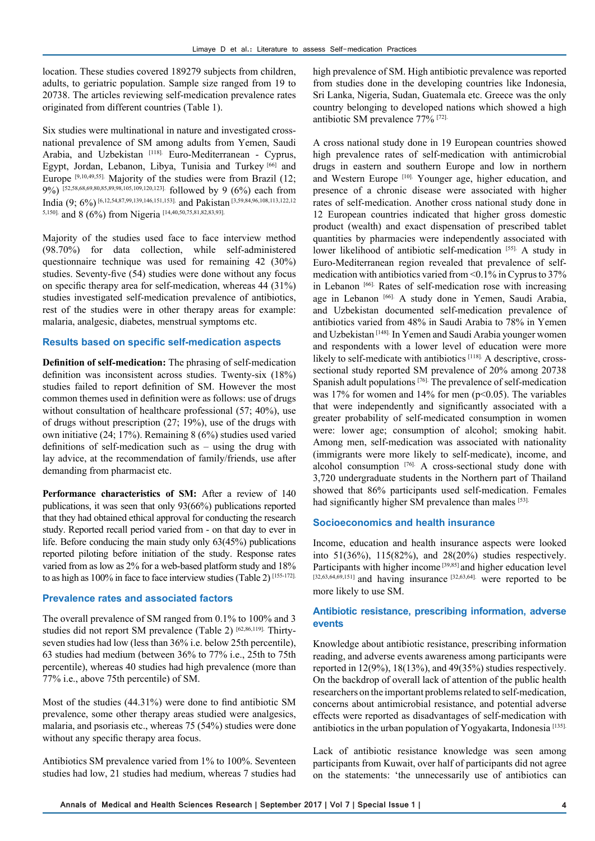location. These studies covered 189279 subjects from children, adults, to geriatric population. Sample size ranged from 19 to 20738. The articles reviewing self-medication prevalence rates originated from different countries (Table 1).

Six studies were multinational in nature and investigated crossnational prevalence of SM among adults from Yemen, Saudi Arabia, and Uzbekistan [118]. Euro-Mediterranean - Cyprus, Egypt, Jordan, Lebanon, Libya, Tunisia and Turkey [66] and Europe  $[9,10,49,55]$ . Majority of the studies were from Brazil (12; 9%) [52,58,68,69,80,85,89,98,105,109,120,123]. followed by 9 (6%) each from India (9; 6%) [6,12,54,87,99,139,146,151,153]. and Pakistan [3,59,84,96,108,113,122,12 5,150]. and 8 (6%) from Nigeria [14,40,50,75,81,82,83,93].

Majority of the studies used face to face interview method (98.70%) for data collection, while self-administered questionnaire technique was used for remaining 42 (30%) studies. Seventy-five (54) studies were done without any focus on specific therapy area for self-medication, whereas 44 (31%) studies investigated self-medication prevalence of antibiotics, rest of the studies were in other therapy areas for example: malaria, analgesic, diabetes, menstrual symptoms etc.

#### **Results based on specific self-medication aspects**

**Definition of self-medication:** The phrasing of self-medication definition was inconsistent across studies. Twenty-six (18%) studies failed to report definition of SM. However the most common themes used in definition were as follows: use of drugs without consultation of healthcare professional (57; 40%), use of drugs without prescription (27; 19%), use of the drugs with own initiative (24; 17%). Remaining 8 (6%) studies used varied definitions of self-medication such as – using the drug with lay advice, at the recommendation of family/friends, use after demanding from pharmacist etc.

Performance characteristics of SM: After a review of 140 publications, it was seen that only 93(66%) publications reported that they had obtained ethical approval for conducting the research study. Reported recall period varied from - on that day to ever in life. Before conducing the main study only 63(45%) publications reported piloting before initiation of the study. Response rates varied from as low as 2% for a web-based platform study and 18% to as high as 100% in face to face interview studies (Table 2) [155-172].

### **Prevalence rates and associated factors**

The overall prevalence of SM ranged from 0.1% to 100% and 3 studies did not report SM prevalence (Table 2) [62,86,119]. Thirtyseven studies had low (less than 36% i.e. below 25th percentile), 63 studies had medium (between 36% to 77% i.e., 25th to 75th percentile), whereas 40 studies had high prevalence (more than 77% i.e., above 75th percentile) of SM.

Most of the studies (44.31%) were done to find antibiotic SM prevalence, some other therapy areas studied were analgesics, malaria, and psoriasis etc., whereas 75 (54%) studies were done without any specific therapy area focus.

Antibiotics SM prevalence varied from 1% to 100%. Seventeen studies had low, 21 studies had medium, whereas 7 studies had high prevalence of SM. High antibiotic prevalence was reported from studies done in the developing countries like Indonesia, Sri Lanka, Nigeria, Sudan, Guatemala etc. Greece was the only country belonging to developed nations which showed a high antibiotic SM prevalence 77% [72].

A cross national study done in 19 European countries showed high prevalence rates of self-medication with antimicrobial drugs in eastern and southern Europe and low in northern and Western Europe<sup>[10].</sup> Younger age, higher education, and presence of a chronic disease were associated with higher rates of self-medication. Another cross national study done in 12 European countries indicated that higher gross domestic product (wealth) and exact dispensation of prescribed tablet quantities by pharmacies were independently associated with lower likelihood of antibiotic self-medication [55]. A study in Euro-Mediterranean region revealed that prevalence of selfmedication with antibiotics varied from <0.1% in Cyprus to 37% in Lebanon [66]. Rates of self-medication rose with increasing age in Lebanon [66]. A study done in Yemen, Saudi Arabia, and Uzbekistan documented self-medication prevalence of antibiotics varied from 48% in Saudi Arabia to 78% in Yemen and Uzbekistan [148]. In Yemen and Saudi Arabia younger women and respondents with a lower level of education were more likely to self-medicate with antibiotics [118]. A descriptive, crosssectional study reported SM prevalence of 20% among 20738 Spanish adult populations [76]. The prevalence of self-medication was 17% for women and 14% for men ( $p<0.05$ ). The variables that were independently and significantly associated with a greater probability of self-medicated consumption in women were: lower age; consumption of alcohol; smoking habit. Among men, self-medication was associated with nationality (immigrants were more likely to self-medicate), income, and alcohol consumption [76]. A cross-sectional study done with 3,720 undergraduate students in the Northern part of Thailand showed that 86% participants used self-medication. Females had significantly higher SM prevalence than males [53].

#### **Socioeconomics and health insurance**

Income, education and health insurance aspects were looked into 51(36%), 115(82%), and 28(20%) studies respectively. Participants with higher income<sup>[39,85]</sup> and higher education level [32,63,64,69,151] and having insurance [32,63,64]. were reported to be more likely to use SM.

## **Antibiotic resistance, prescribing information, adverse events**

Knowledge about antibiotic resistance, prescribing information reading, and adverse events awareness among participants were reported in 12(9%), 18(13%), and 49(35%) studies respectively. On the backdrop of overall lack of attention of the public health researchers on the important problems related to self-medication, concerns about antimicrobial resistance, and potential adverse effects were reported as disadvantages of self-medication with antibiotics in the urban population of Yogyakarta, Indonesia [135].

Lack of antibiotic resistance knowledge was seen among participants from Kuwait, over half of participants did not agree on the statements: 'the unnecessarily use of antibiotics can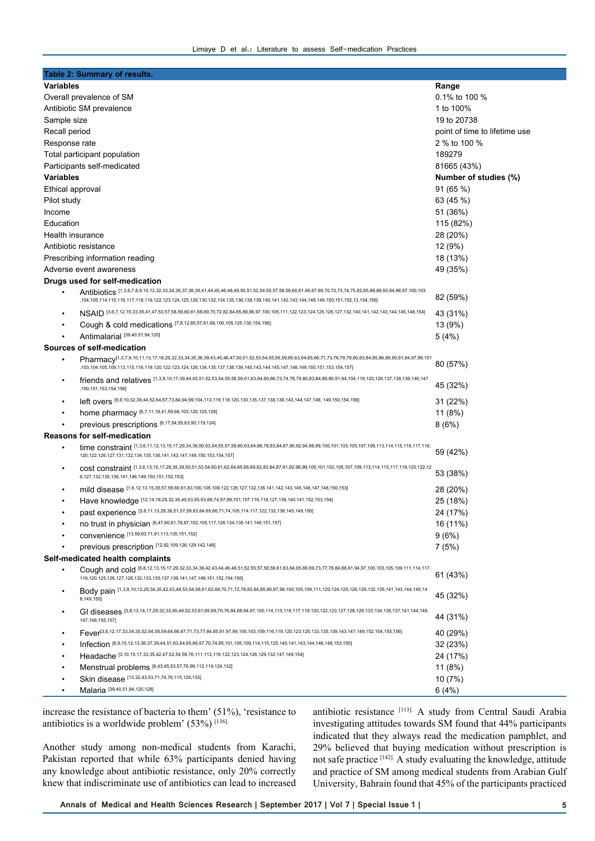| Table 2: Summary of results.                                                                                                                                                       |                                                                                                                                                                                                                                                                                                      |                               |  |  |
|------------------------------------------------------------------------------------------------------------------------------------------------------------------------------------|------------------------------------------------------------------------------------------------------------------------------------------------------------------------------------------------------------------------------------------------------------------------------------------------------|-------------------------------|--|--|
| <b>Variables</b>                                                                                                                                                                   |                                                                                                                                                                                                                                                                                                      | Range                         |  |  |
| Overall prevalence of SM                                                                                                                                                           |                                                                                                                                                                                                                                                                                                      | 0.1% to 100 %                 |  |  |
| Antibiotic SM prevalence                                                                                                                                                           |                                                                                                                                                                                                                                                                                                      | 1 to 100%                     |  |  |
| Sample size                                                                                                                                                                        |                                                                                                                                                                                                                                                                                                      | 19 to 20738                   |  |  |
| Recall period                                                                                                                                                                      |                                                                                                                                                                                                                                                                                                      | point of time to lifetime use |  |  |
| Response rate                                                                                                                                                                      |                                                                                                                                                                                                                                                                                                      | 2 % to 100 %                  |  |  |
| Total participant population                                                                                                                                                       |                                                                                                                                                                                                                                                                                                      | 189279                        |  |  |
| Participants self-medicated                                                                                                                                                        |                                                                                                                                                                                                                                                                                                      | 81665 (43%)                   |  |  |
| Variables                                                                                                                                                                          |                                                                                                                                                                                                                                                                                                      | Number of studies (%)         |  |  |
| Ethical approval                                                                                                                                                                   |                                                                                                                                                                                                                                                                                                      | 91(65%)                       |  |  |
| Pilot study                                                                                                                                                                        |                                                                                                                                                                                                                                                                                                      | 63 (45 %)                     |  |  |
| Income                                                                                                                                                                             |                                                                                                                                                                                                                                                                                                      | 51 (36%)                      |  |  |
| Education                                                                                                                                                                          |                                                                                                                                                                                                                                                                                                      | 115 (82%)                     |  |  |
| Health insurance                                                                                                                                                                   |                                                                                                                                                                                                                                                                                                      | 28 (20%)                      |  |  |
| Antibiotic resistance                                                                                                                                                              |                                                                                                                                                                                                                                                                                                      | 12 (9%)                       |  |  |
| Prescribing information reading                                                                                                                                                    |                                                                                                                                                                                                                                                                                                      | 18 (13%)                      |  |  |
| Adverse event awareness                                                                                                                                                            |                                                                                                                                                                                                                                                                                                      | 49 (35%)                      |  |  |
| Drugs used for self-medication                                                                                                                                                     |                                                                                                                                                                                                                                                                                                      |                               |  |  |
|                                                                                                                                                                                    | Antibiotics [1,3,6,7,8,9,10,12,32,33,34,36,37,38,39,41,44,45,46,49,50,51,52,54,55,57,58,59,60,61,66,67,69,70,72,73,74,75,82,85,88,89,93,94,96,97,100,103<br>,104,105,114,115,116,117,118,119,122,123,124,125,126,130,132,134,135,136,138,139,140,141,142,143,144,148,149,150,151,152,13,154,156]     | 82 (59%)                      |  |  |
| $\bullet$                                                                                                                                                                          | NSAID [3,6,7,12,15,33,35,41,47,53,57,58,59,60,61,68,69,70,72,82,84,85,89,96,97,100,105,111,122,123,124,125,126,127,132,140,141,142,143,144,145,148,148,149                                                                                                                                           | 43 (31%)                      |  |  |
| ٠                                                                                                                                                                                  | Cough & cold medications [7,8,12,85,57,61,68,100,105,125,130,154,156]                                                                                                                                                                                                                                | 13 (9%)                       |  |  |
| $\bullet$                                                                                                                                                                          | Antimalarial [39,40,51,94,120]                                                                                                                                                                                                                                                                       | 5(4%)                         |  |  |
| Sources of self-medication                                                                                                                                                         |                                                                                                                                                                                                                                                                                                      |                               |  |  |
|                                                                                                                                                                                    | Pharmacy <sup>[1,3,7,9,10,11,13,17,18,29,32,33,34,35,36,39,43,45,46,47,50,51,52,53,54,55,56,59,60,63,64,65,66,71,73,76,78,79,80,83,84,85,86,89,90,91,94,97,99,101</sup><br>,103,104,105,109,113,115,116,119,120,122,123,124,126,134,135,137,138,139,140,143,144,145,147,148,149,150,151,153,154,157] | 80 (57%)                      |  |  |
| ٠                                                                                                                                                                                  | friends and relatives [1,3,9,10,17,39,44,45,51,52,53,54,55,56,59,61,63,64,65,66,73,74,78,79,80,83,84,89,90,91,94,104,119,120,126,137,138,139,140,147<br>,150,151,153,154,156]                                                                                                                        | 45 (32%)                      |  |  |
| $\bullet$                                                                                                                                                                          | left overs [6,9,10,32,39,44,52,64,67,73,84,94,99,104,113,116,118,120,130,135,137,138,139,143,144,147,148, 149,150,154,156]                                                                                                                                                                           | 31 (22%)                      |  |  |
| $\bullet$                                                                                                                                                                          | home pharmacy [6,7,11,18,41,59,66,103,120,125,126]                                                                                                                                                                                                                                                   | 11(8%)                        |  |  |
|                                                                                                                                                                                    | previous prescriptions [6,17,54,55,63,90,119,124]                                                                                                                                                                                                                                                    | 8(6%)                         |  |  |
|                                                                                                                                                                                    | <b>Reasons for self-medication</b>                                                                                                                                                                                                                                                                   |                               |  |  |
|                                                                                                                                                                                    | time constraint [1,3,6,11,12,13,15,17,29,34,39,50,53,54,55,57,59,60,63,64,66,78,83,84,87,90,92,94,98,99,100,101,103,105,107,109,113,114,115,116,117,118,<br>120, 122, 126, 127, 131, 132, 134, 135, 136, 141, 143, 147, 149, 150, 153, 154, 157]                                                     | 59 (42%)                      |  |  |
| ٠                                                                                                                                                                                  | COSt constraint [1,3,6,13,15,17,29,35,39,50,51,53,54,60,61,62,64,65,66,69,82,83,84,87,91,92,98,99,100,101,102,105,107,109,113,114,115,117,119,120,122,12<br>6, 127, 132, 135, 136, 141, 146, 149, 150, 151, 152, 153]                                                                                | 53 (38%)                      |  |  |
| $\bullet$                                                                                                                                                                          | mild disease [1,6,12,13,15,35,57,59,60,61,83,100,105,109,122,126,127,132,135,141,142,143,145,146,147,148,150,153]                                                                                                                                                                                    | 28 (20%)                      |  |  |
| ٠                                                                                                                                                                                  | Have knowledge [12,14,18,29,32,35,40,53,55,63,69,74,97,99,101,107,116,118,127,139,140,141,152,153,154]                                                                                                                                                                                               | 25 (18%)                      |  |  |
|                                                                                                                                                                                    | past experience [3,6,11,13,29,39,51,57,59,63,64,65,66,71,74,105,114,117,122,132,136,145,149,150]                                                                                                                                                                                                     | 24 (17%)                      |  |  |
| ٠                                                                                                                                                                                  | no trust in physician [6,47,60,61,78,87,102,105,117,126,134,135,141,146,151,157]                                                                                                                                                                                                                     | 16 (11%)                      |  |  |
|                                                                                                                                                                                    | CONVenience [13,59,63,71,91,113,135,151,152]                                                                                                                                                                                                                                                         | 9(6%)                         |  |  |
|                                                                                                                                                                                    | previous prescription [12,92,109,126,129,142,148]                                                                                                                                                                                                                                                    | 7(5%)                         |  |  |
| Self-medicated health complaints                                                                                                                                                   |                                                                                                                                                                                                                                                                                                      |                               |  |  |
|                                                                                                                                                                                    | Cough and cold [6,8,12,13,15,17,29,32,33,34,39,42,43,44,46,48,51,52,55,57,58,59,61,63,64,65,66,69,73,77,78,84,88,91,94,97,100,103,105,109,111,114,117,<br>119, 120, 125, 126, 127, 128, 132, 133, 135, 137, 139, 141, 147, 149, 151, 152, 154, 156]                                                  | 61 (43%)                      |  |  |
|                                                                                                                                                                                    | Body pain [1,3,8,10,12,29,34,35,42,43,48,53,54,58,61,62,69,70,71,72,78,83,84,85,90,97,99,100,105,109,111,120,124,125,126,129,132,135,141,143,144,145,14<br>8,149,155]                                                                                                                                | 45 (32%)                      |  |  |
| GI diseases [3,8,13,14,17,29,32,33,45,48,52,53,61,65,69,70,76,84,88,94,97,100,114,115,116,117,119,120,122,123,127,128,129,133,134,135,137,141,144,146,<br>٠<br>147, 148, 155, 157] |                                                                                                                                                                                                                                                                                                      | 44 (31%)                      |  |  |
| ٠                                                                                                                                                                                  | Fever <sup>[3,6,12,17,33,34,35,52,54,58,59,64,66,67,71,73,77,84,85,91,97,99,100,103,109,116,119,120,123,125,133,135,139,143,147,149,152,154,155,156]</sup>                                                                                                                                           | 40 (29%)                      |  |  |
| $\bullet$                                                                                                                                                                          | Infection <sup>[8,9,10,12,13,36,37,39,44,51,63,64,65,66,67,70,74,85,101,105,109,114,115,125,140,141,143,144,146,148,153,155]</sup>                                                                                                                                                                   | 32 (23%)                      |  |  |
|                                                                                                                                                                                    | Headache [3,10,15,17,33,35,42,47,52,54,59,76,111,112,116,122,123,124,126,129,132,147,149,154]                                                                                                                                                                                                        | 24 (17%)                      |  |  |
|                                                                                                                                                                                    | Menstrual problems [6,43,45,53,57,76,99,112,119,124,132]                                                                                                                                                                                                                                             | 11(8%)                        |  |  |
|                                                                                                                                                                                    | Skin disease [13,32,43,53,71,74,76,115,129,133]                                                                                                                                                                                                                                                      | 10 (7%)                       |  |  |
| $\bullet$                                                                                                                                                                          | Malaria [39,40,51,94,120,128]                                                                                                                                                                                                                                                                        | 6(4%)                         |  |  |

increase the resistance of bacteria to them' (51%), 'resistance to antibiotics is a worldwide problem' (53%) [136].

Another study among non-medical students from Karachi, Pakistan reported that while 63% participants denied having any knowledge about antibiotic resistance, only 20% correctly knew that indiscriminate use of antibiotics can lead to increased antibiotic resistance [113]. A study from Central Saudi Arabia investigating attitudes towards SM found that 44% participants indicated that they always read the medication pamphlet, and 29% believed that buying medication without prescription is not safe practice [142]. A study evaluating the knowledge, attitude and practice of SM among medical students from Arabian Gulf University, Bahrain found that 45% of the participants practiced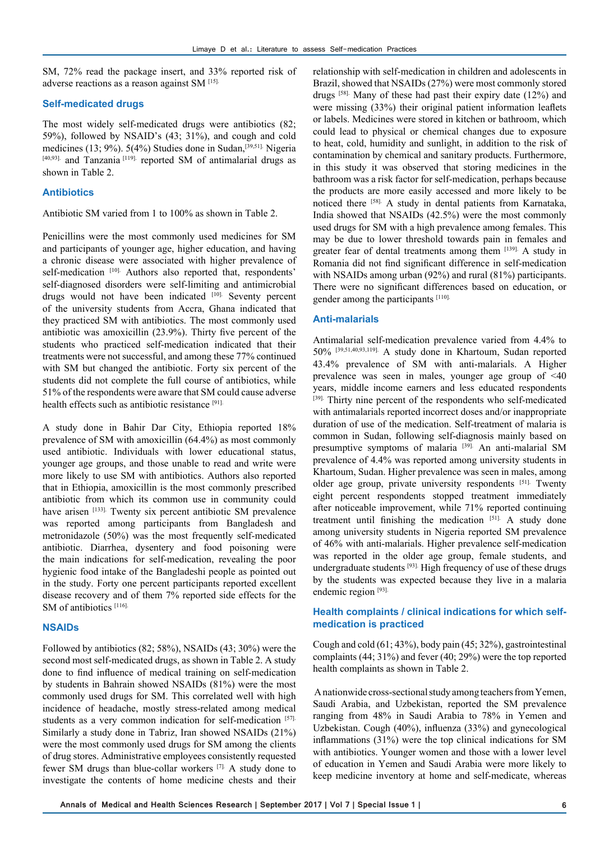SM, 72% read the package insert, and 33% reported risk of adverse reactions as a reason against SM [15].

## **Self-medicated drugs**

The most widely self-medicated drugs were antibiotics (82; 59%), followed by NSAID's (43; 31%), and cough and cold medicines (13; 9%). 5(4%) Studies done in Sudan,<sup>[39,51].</sup> Nigeria [40,93]. and Tanzania<sup>[119]</sup>. reported SM of antimalarial drugs as shown in Table 2.

## **Antibiotics**

Antibiotic SM varied from 1 to 100% as shown in Table 2.

Penicillins were the most commonly used medicines for SM and participants of younger age, higher education, and having a chronic disease were associated with higher prevalence of self-medication [10]. Authors also reported that, respondents' self-diagnosed disorders were self-limiting and antimicrobial drugs would not have been indicated [10]. Seventy percent of the university students from Accra, Ghana indicated that they practiced SM with antibiotics. The most commonly used antibiotic was amoxicillin (23.9%). Thirty five percent of the students who practiced self-medication indicated that their treatments were not successful, and among these 77% continued with SM but changed the antibiotic. Forty six percent of the students did not complete the full course of antibiotics, while 51% of the respondents were aware that SM could cause adverse health effects such as antibiotic resistance [91].

A study done in Bahir Dar City, Ethiopia reported 18% prevalence of SM with amoxicillin (64.4%) as most commonly used antibiotic. Individuals with lower educational status, younger age groups, and those unable to read and write were more likely to use SM with antibiotics. Authors also reported that in Ethiopia, amoxicillin is the most commonly prescribed antibiotic from which its common use in community could have arisen [133]. Twenty six percent antibiotic SM prevalence was reported among participants from Bangladesh and metronidazole (50%) was the most frequently self-medicated antibiotic. Diarrhea, dysentery and food poisoning were the main indications for self-medication, revealing the poor hygienic food intake of the Bangladeshi people as pointed out in the study. Forty one percent participants reported excellent disease recovery and of them 7% reported side effects for the SM of antibiotics [116].

## **NSAIDs**

Followed by antibiotics (82; 58%), NSAIDs (43; 30%) were the second most self-medicated drugs, as shown in Table 2. A study done to find influence of medical training on self-medication by students in Bahrain showed NSAIDs (81%) were the most commonly used drugs for SM. This correlated well with high incidence of headache, mostly stress-related among medical students as a very common indication for self-medication [57]. Similarly a study done in Tabriz, Iran showed NSAIDs (21%) were the most commonly used drugs for SM among the clients of drug stores. Administrative employees consistently requested fewer SM drugs than blue-collar workers [7]. A study done to investigate the contents of home medicine chests and their

relationship with self-medication in children and adolescents in Brazil, showed that NSAIDs (27%) were most commonly stored drugs [58]. Many of these had past their expiry date (12%) and were missing (33%) their original patient information leaflets or labels. Medicines were stored in kitchen or bathroom, which could lead to physical or chemical changes due to exposure to heat, cold, humidity and sunlight, in addition to the risk of contamination by chemical and sanitary products. Furthermore, in this study it was observed that storing medicines in the bathroom was a risk factor for self-medication, perhaps because the products are more easily accessed and more likely to be noticed there [58]. A study in dental patients from Karnataka, India showed that NSAIDs (42.5%) were the most commonly used drugs for SM with a high prevalence among females. This may be due to lower threshold towards pain in females and greater fear of dental treatments among them [139]. A study in Romania did not find significant difference in self-medication with NSAIDs among urban (92%) and rural (81%) participants. There were no significant differences based on education, or gender among the participants [110].

# **Anti-malarials**

Antimalarial self-medication prevalence varied from 4.4% to 50% [39,51,40,93,119]. A study done in Khartoum, Sudan reported 43.4% prevalence of SM with anti-malarials. A Higher prevalence was seen in males, younger age group of <40 years, middle income earners and less educated respondents [39]. Thirty nine percent of the respondents who self-medicated with antimalarials reported incorrect doses and/or inappropriate duration of use of the medication. Self-treatment of malaria is common in Sudan, following self-diagnosis mainly based on presumptive symptoms of malaria [39]. An anti-malarial SM prevalence of 4.4% was reported among university students in Khartoum, Sudan. Higher prevalence was seen in males, among older age group, private university respondents [51]. Twenty eight percent respondents stopped treatment immediately after noticeable improvement, while 71% reported continuing treatment until finishing the medication [51]. A study done among university students in Nigeria reported SM prevalence of 46% with anti-malarials. Higher prevalence self-medication was reported in the older age group, female students, and undergraduate students [93]. High frequency of use of these drugs by the students was expected because they live in a malaria endemic region [93].

## **Health complaints / clinical indications for which selfmedication is practiced**

Cough and cold (61; 43%), body pain (45; 32%), gastrointestinal complaints (44; 31%) and fever (40; 29%) were the top reported health complaints as shown in Table 2.

 A nationwide cross-sectional study among teachers from Yemen, Saudi Arabia, and Uzbekistan, reported the SM prevalence ranging from 48% in Saudi Arabia to 78% in Yemen and Uzbekistan. Cough (40%), influenza (33%) and gynecological inflammations (31%) were the top clinical indications for SM with antibiotics. Younger women and those with a lower level of education in Yemen and Saudi Arabia were more likely to keep medicine inventory at home and self-medicate, whereas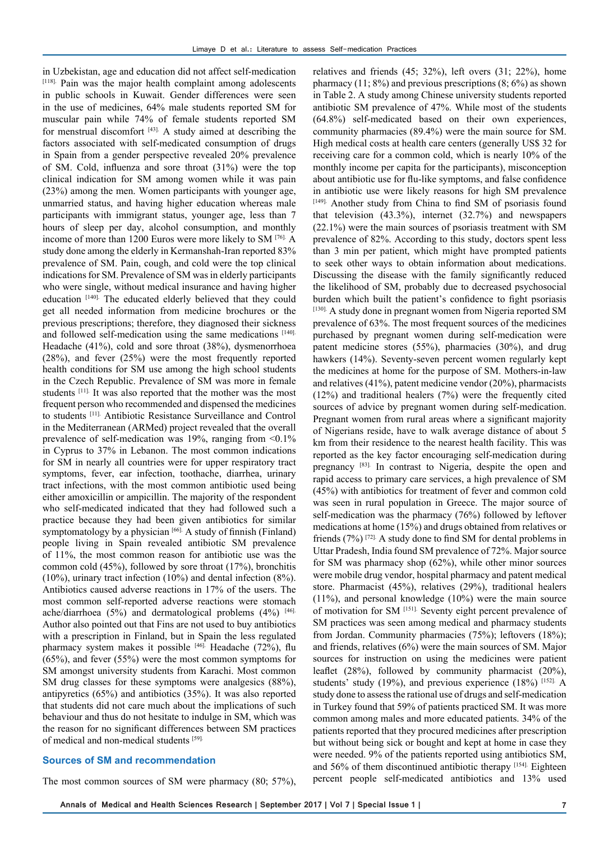in Uzbekistan, age and education did not affect self-medication [118]. Pain was the major health complaint among adolescents in public schools in Kuwait. Gender differences were seen in the use of medicines, 64% male students reported SM for muscular pain while 74% of female students reported SM for menstrual discomfort [43]. A study aimed at describing the factors associated with self-medicated consumption of drugs in Spain from a gender perspective revealed 20% prevalence of SM. Cold, influenza and sore throat (31%) were the top clinical indication for SM among women while it was pain (23%) among the men. Women participants with younger age, unmarried status, and having higher education whereas male participants with immigrant status, younger age, less than 7 hours of sleep per day, alcohol consumption, and monthly income of more than 1200 Euros were more likely to SM [76]. A study done among the elderly in Kermanshah-Iran reported 83% prevalence of SM. Pain, cough, and cold were the top clinical indications for SM. Prevalence of SM was in elderly participants who were single, without medical insurance and having higher education [140]. The educated elderly believed that they could get all needed information from medicine brochures or the previous prescriptions; therefore, they diagnosed their sickness and followed self-medication using the same medications [140]. Headache (41%), cold and sore throat (38%), dysmenorrhoea (28%), and fever (25%) were the most frequently reported health conditions for SM use among the high school students in the Czech Republic. Prevalence of SM was more in female students [11]. It was also reported that the mother was the most frequent person who recommended and dispensed the medicines to students [11]. Antibiotic Resistance Surveillance and Control in the Mediterranean (ARMed) project revealed that the overall prevalence of self-medication was 19%, ranging from  $\leq 0.1\%$ in Cyprus to 37% in Lebanon. The most common indications for SM in nearly all countries were for upper respiratory tract symptoms, fever, ear infection, toothache, diarrhea, urinary tract infections, with the most common antibiotic used being either amoxicillin or ampicillin. The majority of the respondent who self-medicated indicated that they had followed such a practice because they had been given antibiotics for similar symptomatology by a physician  $[66]$ . A study of finnish (Finland) people living in Spain revealed antibiotic SM prevalence of 11%, the most common reason for antibiotic use was the common cold (45%), followed by sore throat (17%), bronchitis (10%), urinary tract infection (10%) and dental infection (8%). Antibiotics caused adverse reactions in 17% of the users. The most common self-reported adverse reactions were stomach ache/diarrhoea  $(5%)$  and dermatological problems  $(4%)$  [46]. Author also pointed out that Fins are not used to buy antibiotics with a prescription in Finland, but in Spain the less regulated pharmacy system makes it possible [46]. Headache (72%), flu (65%), and fever (55%) were the most common symptoms for SM amongst university students from Karachi. Most common SM drug classes for these symptoms were analgesics (88%), antipyretics (65%) and antibiotics (35%). It was also reported that students did not care much about the implications of such behaviour and thus do not hesitate to indulge in SM, which was the reason for no significant differences between SM practices of medical and non-medical students [59].

## **Sources of SM and recommendation**

The most common sources of SM were pharmacy (80; 57%),

relatives and friends (45; 32%), left overs (31; 22%), home pharmacy (11; 8%) and previous prescriptions  $(8, 6\%)$  as shown in Table 2. A study among Chinese university students reported antibiotic SM prevalence of 47%. While most of the students (64.8%) self-medicated based on their own experiences, community pharmacies (89.4%) were the main source for SM. High medical costs at health care centers (generally US\$ 32 for receiving care for a common cold, which is nearly 10% of the monthly income per capita for the participants), misconception about antibiotic use for flu-like symptoms, and false confidence in antibiotic use were likely reasons for high SM prevalence [149]. Another study from China to find SM of psoriasis found that television (43.3%), internet (32.7%) and newspapers (22.1%) were the main sources of psoriasis treatment with SM prevalence of 82%. According to this study, doctors spent less than 3 min per patient, which might have prompted patients to seek other ways to obtain information about medications. Discussing the disease with the family significantly reduced the likelihood of SM, probably due to decreased psychosocial burden which built the patient's confidence to fight psoriasis [130]. A study done in pregnant women from Nigeria reported SM prevalence of 63%. The most frequent sources of the medicines purchased by pregnant women during self-medication were patent medicine stores (55%), pharmacies (30%), and drug hawkers (14%). Seventy-seven percent women regularly kept the medicines at home for the purpose of SM. Mothers-in-law and relatives (41%), patent medicine vendor (20%), pharmacists (12%) and traditional healers (7%) were the frequently cited sources of advice by pregnant women during self-medication. Pregnant women from rural areas where a significant majority of Nigerians reside, have to walk average distance of about 5 km from their residence to the nearest health facility. This was reported as the key factor encouraging self-medication during pregnancy [83]. In contrast to Nigeria, despite the open and rapid access to primary care services, a high prevalence of SM (45%) with antibiotics for treatment of fever and common cold was seen in rural population in Greece. The major source of self-medication was the pharmacy (76%) followed by leftover medications at home (15%) and drugs obtained from relatives or friends (7%) [72]. A study done to find SM for dental problems in Uttar Pradesh, India found SM prevalence of 72%. Major source for SM was pharmacy shop (62%), while other minor sources were mobile drug vendor, hospital pharmacy and patent medical store. Pharmacist (45%), relatives (29%), traditional healers (11%), and personal knowledge (10%) were the main source of motivation for SM [151]. Seventy eight percent prevalence of SM practices was seen among medical and pharmacy students from Jordan. Community pharmacies (75%); leftovers (18%); and friends, relatives (6%) were the main sources of SM. Major sources for instruction on using the medicines were patient leaflet (28%), followed by community pharmacist (20%), students' study (19%), and previous experience (18%) [152]. A study done to assess the rational use of drugs and self-medication in Turkey found that 59% of patients practiced SM. It was more common among males and more educated patients. 34% of the patients reported that they procured medicines after prescription but without being sick or bought and kept at home in case they were needed. 9% of the patients reported using antibiotics SM, and 56% of them discontinued antibiotic therapy [154]. Eighteen percent people self-medicated antibiotics and 13% used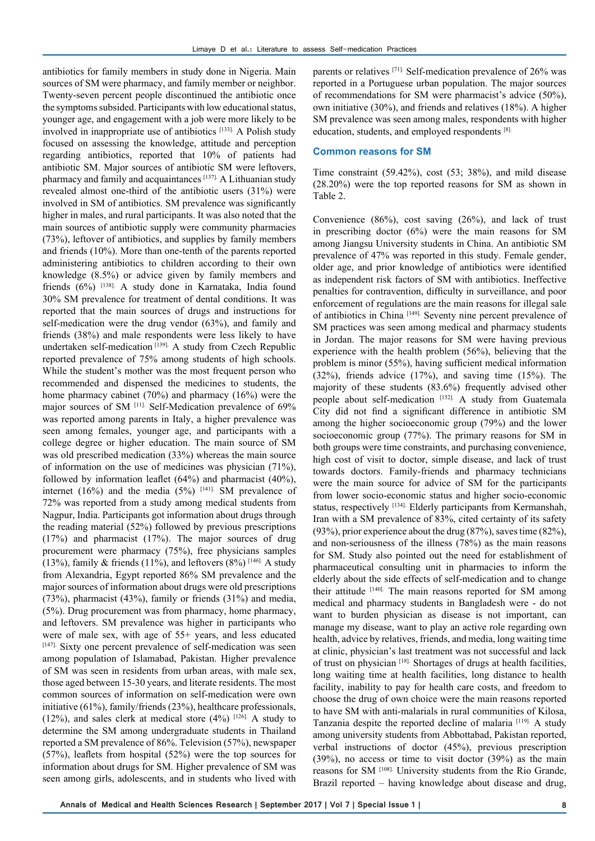antibiotics for family members in study done in Nigeria. Main sources of SM were pharmacy, and family member or neighbor. Twenty-seven percent people discontinued the antibiotic once the symptoms subsided. Participants with low educational status, younger age, and engagement with a job were more likely to be involved in inappropriate use of antibiotics [133]. A Polish study focused on assessing the knowledge, attitude and perception regarding antibiotics, reported that 10% of patients had antibiotic SM. Major sources of antibiotic SM were leftovers, pharmacy and family and acquaintances [137]. A Lithuanian study revealed almost one-third of the antibiotic users (31%) were involved in SM of antibiotics. SM prevalence was significantly higher in males, and rural participants. It was also noted that the main sources of antibiotic supply were community pharmacies (73%), leftover of antibiotics, and supplies by family members and friends (10%). More than one-tenth of the parents reported administering antibiotics to children according to their own knowledge (8.5%) or advice given by family members and friends (6%) [138]. A study done in Karnataka, India found 30% SM prevalence for treatment of dental conditions. It was reported that the main sources of drugs and instructions for self-medication were the drug vendor (63%), and family and friends (38%) and male respondents were less likely to have undertaken self-medication<sup>[139]</sup>. A study from Czech Republic reported prevalence of 75% among students of high schools. While the student's mother was the most frequent person who recommended and dispensed the medicines to students, the home pharmacy cabinet (70%) and pharmacy (16%) were the major sources of SM <sup>[11]</sup>. Self-Medication prevalence of 69% was reported among parents in Italy, a higher prevalence was seen among females, younger age, and participants with a college degree or higher education. The main source of SM was old prescribed medication (33%) whereas the main source of information on the use of medicines was physician (71%), followed by information leaflet (64%) and pharmacist (40%), internet (16%) and the media (5%)  $[141]$ . SM prevalence of 72% was reported from a study among medical students from Nagpur, India. Participants got information about drugs through the reading material (52%) followed by previous prescriptions (17%) and pharmacist (17%). The major sources of drug procurement were pharmacy (75%), free physicians samples (13%), family & friends (11%), and leftovers (8%)  $[146]$ . A study from Alexandria, Egypt reported 86% SM prevalence and the major sources of information about drugs were old prescriptions (73%), pharmacist (43%), family or friends (31%) and media, (5%). Drug procurement was from pharmacy, home pharmacy, and leftovers. SM prevalence was higher in participants who were of male sex, with age of 55+ years, and less educated [147]. Sixty one percent prevalence of self-medication was seen among population of Islamabad, Pakistan. Higher prevalence of SM was seen in residents from urban areas, with male sex, those aged between 15-30 years, and literate residents. The most common sources of information on self-medication were own initiative (61%), family/friends (23%), healthcare professionals, (12%), and sales clerk at medical store (4%)  $[126]$ . A study to determine the SM among undergraduate students in Thailand reported a SM prevalence of 86%. Television (57%), newspaper (57%), leaflets from hospital (52%) were the top sources for information about drugs for SM. Higher prevalence of SM was seen among girls, adolescents, and in students who lived with

parents or relatives [71]. Self-medication prevalence of 26% was reported in a Portuguese urban population. The major sources of recommendations for SM were pharmacist's advice (50%), own initiative (30%), and friends and relatives (18%). A higher SM prevalence was seen among males, respondents with higher education, students, and employed respondents [8].

## **Common reasons for SM**

Time constraint (59.42%), cost (53; 38%), and mild disease (28.20%) were the top reported reasons for SM as shown in Table 2.

Convenience (86%), cost saving (26%), and lack of trust in prescribing doctor (6%) were the main reasons for SM among Jiangsu University students in China. An antibiotic SM prevalence of 47% was reported in this study. Female gender, older age, and prior knowledge of antibiotics were identified as independent risk factors of SM with antibiotics. Ineffective penalties for contravention, difficulty in surveillance, and poor enforcement of regulations are the main reasons for illegal sale of antibiotics in China [149]. Seventy nine percent prevalence of SM practices was seen among medical and pharmacy students in Jordan. The major reasons for SM were having previous experience with the health problem (56%), believing that the problem is minor (55%), having sufficient medical information (32%), friends advice (17%), and saving time (15%). The majority of these students (83.6%) frequently advised other people about self-medication [152]. A study from Guatemala City did not find a significant difference in antibiotic SM among the higher socioeconomic group (79%) and the lower socioeconomic group (77%). The primary reasons for SM in both groups were time constraints, and purchasing convenience, high cost of visit to doctor, simple disease, and lack of trust towards doctors. Family-friends and pharmacy technicians were the main source for advice of SM for the participants from lower socio-economic status and higher socio-economic status, respectively [134]. Elderly participants from Kermanshah, Iran with a SM prevalence of 83%, cited certainty of its safety (93%), prior experience about the drug (87%), saves time (82%), and non-seriousness of the illness (78%) as the main reasons for SM. Study also pointed out the need for establishment of pharmaceutical consulting unit in pharmacies to inform the elderly about the side effects of self-medication and to change their attitude [140]. The main reasons reported for SM among medical and pharmacy students in Bangladesh were - do not want to burden physician as disease is not important, can manage my disease, want to play an active role regarding own health, advice by relatives, friends, and media, long waiting time at clinic, physician's last treatment was not successful and lack of trust on physician [18]. Shortages of drugs at health facilities, long waiting time at health facilities, long distance to health facility, inability to pay for health care costs, and freedom to choose the drug of own choice were the main reasons reported to have SM with anti-malarials in rural communities of Kilosa, Tanzania despite the reported decline of malaria [119]. A study among university students from Abbottabad, Pakistan reported, verbal instructions of doctor (45%), previous prescription (39%), no access or time to visit doctor (39%) as the main reasons for SM [108]. University students from the Rio Grande, Brazil reported – having knowledge about disease and drug,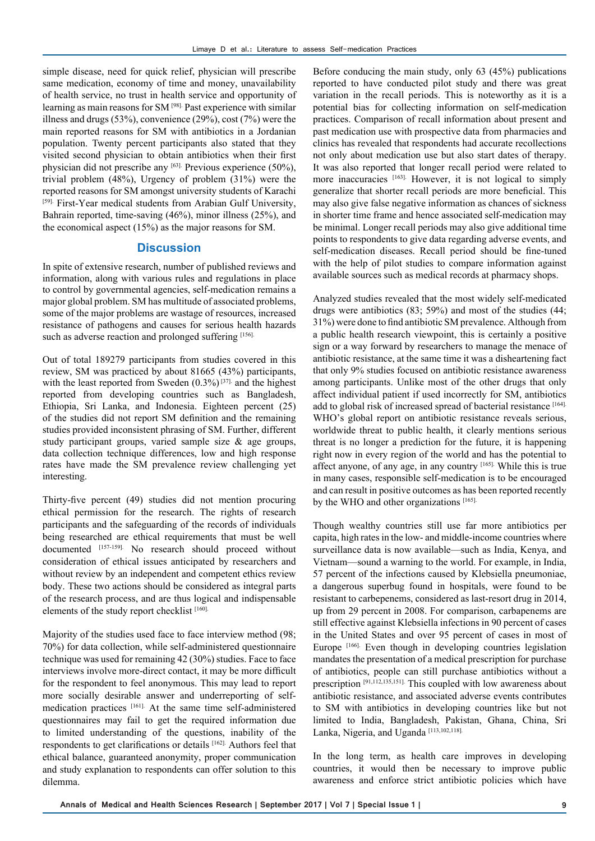simple disease, need for quick relief, physician will prescribe same medication, economy of time and money, unavailability of health service, no trust in health service and opportunity of learning as main reasons for SM [98]. Past experience with similar illness and drugs (53%), convenience (29%), cost (7%) were the main reported reasons for SM with antibiotics in a Jordanian population. Twenty percent participants also stated that they visited second physician to obtain antibiotics when their first physician did not prescribe any [63]. Previous experience (50%), trivial problem (48%), Urgency of problem (31%) were the reported reasons for SM amongst university students of Karachi [59]. First-Year medical students from Arabian Gulf University, Bahrain reported, time-saving (46%), minor illness (25%), and the economical aspect (15%) as the major reasons for SM.

# **Discussion**

In spite of extensive research, number of published reviews and information, along with various rules and regulations in place to control by governmental agencies, self-medication remains a major global problem. SM has multitude of associated problems, some of the major problems are wastage of resources, increased resistance of pathogens and causes for serious health hazards such as adverse reaction and prolonged suffering [156].

Out of total 189279 participants from studies covered in this review, SM was practiced by about 81665 (43%) participants, with the least reported from Sweden  $(0.3\%)$ <sup>[37]</sup> and the highest reported from developing countries such as Bangladesh, Ethiopia, Sri Lanka, and Indonesia. Eighteen percent (25) of the studies did not report SM definition and the remaining studies provided inconsistent phrasing of SM. Further, different study participant groups, varied sample size & age groups, data collection technique differences, low and high response rates have made the SM prevalence review challenging yet interesting.

Thirty-five percent (49) studies did not mention procuring ethical permission for the research. The rights of research participants and the safeguarding of the records of individuals being researched are ethical requirements that must be well documented [157-159]. No research should proceed without consideration of ethical issues anticipated by researchers and without review by an independent and competent ethics review body. These two actions should be considered as integral parts of the research process, and are thus logical and indispensable elements of the study report checklist [160].

Majority of the studies used face to face interview method (98; 70%) for data collection, while self-administered questionnaire technique was used for remaining 42 (30%) studies. Face to face interviews involve more-direct contact, it may be more difficult for the respondent to feel anonymous. This may lead to report more socially desirable answer and underreporting of selfmedication practices [161]. At the same time self-administered questionnaires may fail to get the required information due to limited understanding of the questions, inability of the respondents to get clarifications or details [162]. Authors feel that ethical balance, guaranteed anonymity, proper communication and study explanation to respondents can offer solution to this dilemma.

Before conducing the main study, only 63 (45%) publications reported to have conducted pilot study and there was great variation in the recall periods. This is noteworthy as it is a potential bias for collecting information on self-medication practices. Comparison of recall information about present and past medication use with prospective data from pharmacies and clinics has revealed that respondents had accurate recollections not only about medication use but also start dates of therapy. It was also reported that longer recall period were related to more inaccuracies [163]. However, it is not logical to simply generalize that shorter recall periods are more beneficial. This may also give false negative information as chances of sickness in shorter time frame and hence associated self-medication may be minimal. Longer recall periods may also give additional time points to respondents to give data regarding adverse events, and self-medication diseases. Recall period should be fine-tuned with the help of pilot studies to compare information against available sources such as medical records at pharmacy shops.

Analyzed studies revealed that the most widely self-medicated drugs were antibiotics (83; 59%) and most of the studies (44; 31%) were done to find antibiotic SM prevalence. Although from a public health research viewpoint, this is certainly a positive sign or a way forward by researchers to manage the menace of antibiotic resistance, at the same time it was a disheartening fact that only 9% studies focused on antibiotic resistance awareness among participants. Unlike most of the other drugs that only affect individual patient if used incorrectly for SM, antibiotics add to global risk of increased spread of bacterial resistance [164]. WHO's global report on antibiotic resistance reveals serious, worldwide threat to public health, it clearly mentions serious threat is no longer a prediction for the future, it is happening right now in every region of the world and has the potential to affect anyone, of any age, in any country [165]. While this is true in many cases, responsible self-medication is to be encouraged and can result in positive outcomes as has been reported recently by the WHO and other organizations [165].

Though wealthy countries still use far more antibiotics per capita, high rates in the low- and middle-income countries where surveillance data is now available—such as India, Kenya, and Vietnam—sound a warning to the world. For example, in India, 57 percent of the infections caused by Klebsiella pneumoniae, a dangerous superbug found in hospitals, were found to be resistant to carbepenems, considered as last-resort drug in 2014, up from 29 percent in 2008. For comparison, carbapenems are still effective against Klebsiella infections in 90 percent of cases in the United States and over 95 percent of cases in most of Europe <sup>[166]</sup>. Even though in developing countries legislation mandates the presentation of a medical prescription for purchase of antibiotics, people can still purchase antibiotics without a prescription [91,112,135,151]. This coupled with low awareness about antibiotic resistance, and associated adverse events contributes to SM with antibiotics in developing countries like but not limited to India, Bangladesh, Pakistan, Ghana, China, Sri Lanka, Nigeria, and Uganda [113,102,118].

In the long term, as health care improves in developing countries, it would then be necessary to improve public awareness and enforce strict antibiotic policies which have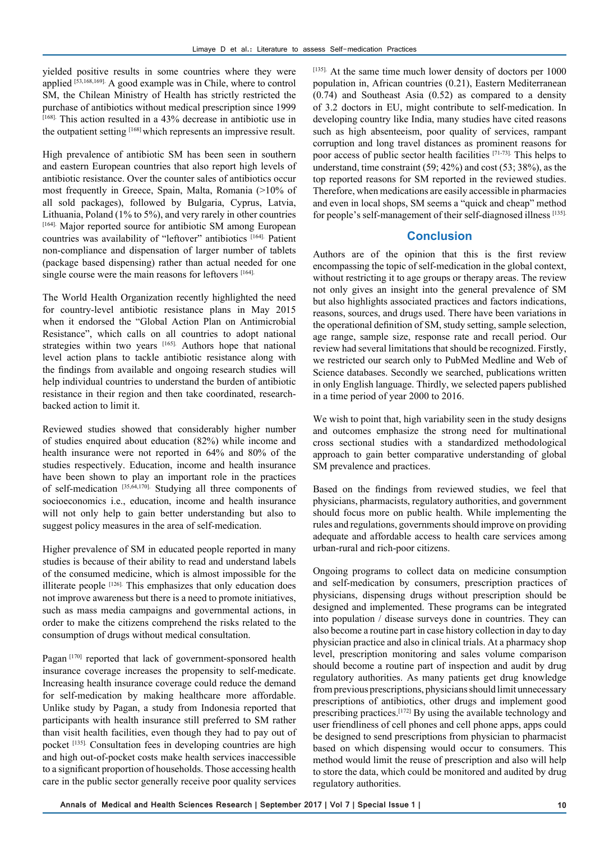yielded positive results in some countries where they were applied [53,168,169]. A good example was in Chile, where to control SM, the Chilean Ministry of Health has strictly restricted the purchase of antibiotics without medical prescription since 1999 [168]. This action resulted in a 43% decrease in antibiotic use in the outpatient setting [168] which represents an impressive result.

High prevalence of antibiotic SM has been seen in southern and eastern European countries that also report high levels of antibiotic resistance. Over the counter sales of antibiotics occur most frequently in Greece, Spain, Malta, Romania (>10% of all sold packages), followed by Bulgaria, Cyprus, Latvia, Lithuania, Poland (1% to 5%), and very rarely in other countries [164]. Major reported source for antibiotic SM among European countries was availability of "leftover" antibiotics [164]. Patient non-compliance and dispensation of larger number of tablets (package based dispensing) rather than actual needed for one single course were the main reasons for leftovers [164].

The World Health Organization recently highlighted the need for country-level antibiotic resistance plans in May 2015 when it endorsed the "Global Action Plan on Antimicrobial Resistance", which calls on all countries to adopt national strategies within two years [165]. Authors hope that national level action plans to tackle antibiotic resistance along with the findings from available and ongoing research studies will help individual countries to understand the burden of antibiotic resistance in their region and then take coordinated, researchbacked action to limit it.

Reviewed studies showed that considerably higher number of studies enquired about education (82%) while income and health insurance were not reported in 64% and 80% of the studies respectively. Education, income and health insurance have been shown to play an important role in the practices of self-medication [35,64,170]. Studying all three components of socioeconomics i.e., education, income and health insurance will not only help to gain better understanding but also to suggest policy measures in the area of self-medication.

Higher prevalence of SM in educated people reported in many studies is because of their ability to read and understand labels of the consumed medicine, which is almost impossible for the illiterate people  $[126]$ . This emphasizes that only education does not improve awareness but there is a need to promote initiatives, such as mass media campaigns and governmental actions, in order to make the citizens comprehend the risks related to the consumption of drugs without medical consultation.

Pagan [170] reported that lack of government-sponsored health insurance coverage increases the propensity to self-medicate. Increasing health insurance coverage could reduce the demand for self-medication by making healthcare more affordable. Unlike study by Pagan, a study from Indonesia reported that participants with health insurance still preferred to SM rather than visit health facilities, even though they had to pay out of pocket [135]. Consultation fees in developing countries are high and high out-of-pocket costs make health services inaccessible to a significant proportion of households. Those accessing health care in the public sector generally receive poor quality services

[135]. At the same time much lower density of doctors per 1000 population in, African countries (0.21), Eastern Mediterranean (0.74) and Southeast Asia (0.52) as compared to a density of 3.2 doctors in EU, might contribute to self-medication. In developing country like India, many studies have cited reasons such as high absenteeism, poor quality of services, rampant corruption and long travel distances as prominent reasons for poor access of public sector health facilities [71-73]. This helps to understand, time constraint (59; 42%) and cost (53; 38%), as the top reported reasons for SM reported in the reviewed studies. Therefore, when medications are easily accessible in pharmacies and even in local shops, SM seems a "quick and cheap" method for people's self-management of their self-diagnosed illness [135].

# **Conclusion**

Authors are of the opinion that this is the first review encompassing the topic of self-medication in the global context, without restricting it to age groups or therapy areas. The review not only gives an insight into the general prevalence of SM but also highlights associated practices and factors indications, reasons, sources, and drugs used. There have been variations in the operational definition of SM, study setting, sample selection, age range, sample size, response rate and recall period. Our review had several limitations that should be recognized. Firstly, we restricted our search only to PubMed Medline and Web of Science databases. Secondly we searched, publications written in only English language. Thirdly, we selected papers published in a time period of year 2000 to 2016.

We wish to point that, high variability seen in the study designs and outcomes emphasize the strong need for multinational cross sectional studies with a standardized methodological approach to gain better comparative understanding of global SM prevalence and practices.

Based on the findings from reviewed studies, we feel that physicians, pharmacists, regulatory authorities, and government should focus more on public health. While implementing the rules and regulations, governments should improve on providing adequate and affordable access to health care services among urban-rural and rich-poor citizens.

Ongoing programs to collect data on medicine consumption and self-medication by consumers, prescription practices of physicians, dispensing drugs without prescription should be designed and implemented. These programs can be integrated into population / disease surveys done in countries. They can also become a routine part in case history collection in day to day physician practice and also in clinical trials. At a pharmacy shop level, prescription monitoring and sales volume comparison should become a routine part of inspection and audit by drug regulatory authorities. As many patients get drug knowledge from previous prescriptions, physicians should limit unnecessary prescriptions of antibiotics, other drugs and implement good prescribing practices.[172] By using the available technology and user friendliness of cell phones and cell phone apps, apps could be designed to send prescriptions from physician to pharmacist based on which dispensing would occur to consumers. This method would limit the reuse of prescription and also will help to store the data, which could be monitored and audited by drug regulatory authorities.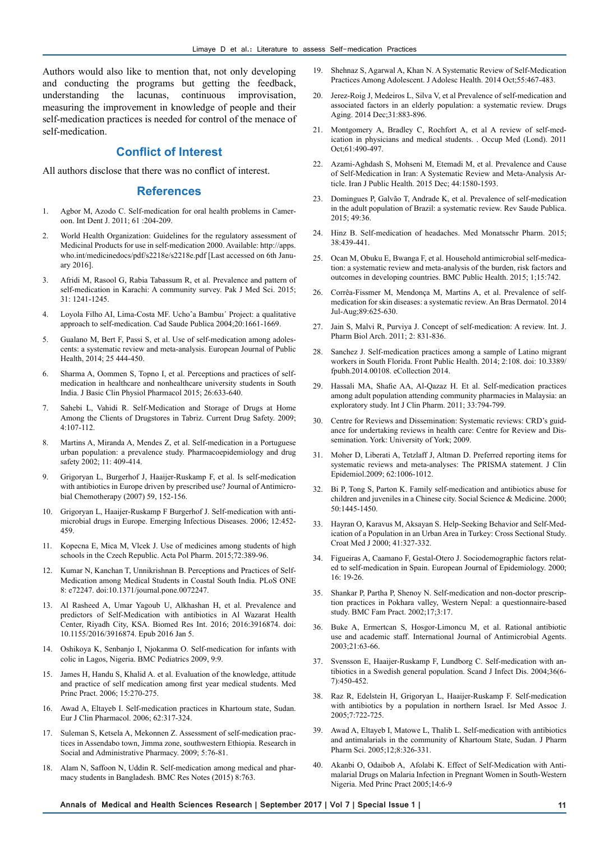Authors would also like to mention that, not only developing and conducting the programs but getting the feedback, understanding the lacunas, continuous improvisation, measuring the improvement in knowledge of people and their self-medication practices is needed for control of the menace of self-medication.

# **Conflict of Interest**

All authors disclose that there was no conflict of interest.

## **References**

- 1. Agbor M, Azodo C. Self-medication for oral health problems in Cameroon. Int Dent J. 2011; 61 :204-209.
- 2. World Health Organization: Guidelines for the regulatory assessment of Medicinal Products for use in self-medication 2000. Available: http://apps. who.int/medicinedocs/pdf/s2218e/s2218e.pdf [Last accessed on 6th January 2016].
- 3. Afridi M, Rasool G, Rabia Tabassum R, et al. Prevalence and pattern of self-medication in Karachi: A community survey. Pak J Med Sci. 2015; 31: 1241-1245.
- 4. Loyola Filho AI, Lima-Costa MF. Uchoˆa Bambuı´ Project: a qualitative approach to self-medication. Cad Saude Publica 2004;20:1661-1669.
- 5. Gualano M, Bert F, Passi S, et al. Use of self-medication among adolescents: a systematic review and meta-analysis. European Journal of Public Health, 2014; 25 444-450.
- 6. Sharma A, Oommen S, Topno I, et al. Perceptions and practices of selfmedication in healthcare and nonhealthcare university students in South India. J Basic Clin Physiol Pharmacol 2015; 26:633-640.
- 7. Sahebi L, Vahidi R. Self-Medication and Storage of Drugs at Home Among the Clients of Drugstores in Tabriz. Current Drug Safety. 2009; 4:107-112.
- 8. Martins A, Miranda A, Mendes Z, et al. Self-medication in a Portuguese urban population: a prevalence study. Pharmacoepidemiology and drug safety 2002; 11: 409-414.
- 9. Grigoryan L, Burgerhof J, Haaijer-Ruskamp F, et al. Is self-medication with antibiotics in Europe driven by prescribed use? Journal of Antimicrobial Chemotherapy (2007) 59, 152-156.
- 10. Grigoryan L, Haaijer-Ruskamp F Burgerhof J. Self-medication with antimicrobial drugs in Europe. Emerging Infectious Diseases. 2006; 12:452- 459.
- Kopecna E, Mica M, Vlcek J. Use of medicines among students of high schools in the Czech Republic. Acta Pol Pharm. 2015;72:389-96.
- 12. Kumar N, Kanchan T, Unnikrishnan B. Perceptions and Practices of Self-Medication among Medical Students in Coastal South India. PLoS ONE 8: e72247. doi:10.1371/journal.pone.0072247.
- 13. Al Rasheed A, Umar Yagoub U, Alkhashan H, et al. Prevalence and predictors of Self-Medication with antibiotics in Al Wazarat Health Center, Riyadh City, KSA. Biomed Res Int. 2016; 2016:3916874. doi: 10.1155/2016/3916874. Epub 2016 Jan 5.
- 14. Oshikoya K, Senbanjo I, Njokanma O. Self-medication for infants with colic in Lagos, Nigeria. BMC Pediatrics 2009, 9:9.
- 15. James H, Handu S, Khalid A. et al. Evaluation of the knowledge, attitude and practice of self medication among first year medical students. Med Princ Pract. 2006; 15:270-275.
- 16. Awad A, Eltayeb I. Self-medication practices in Khartoum state, Sudan. Eur J Clin Pharmacol. 2006; 62:317-324.
- 17. Suleman S, Ketsela A, Mekonnen Z. Assessment of self-medication practices in Assendabo town, Jimma zone, southwestern Ethiopia. Research in Social and Administrative Pharmacy. 2009; 5:76-81.
- 18. Alam N, Saffoon N, Uddin R. Self-medication among medical and pharmacy students in Bangladesh. BMC Res Notes (2015) 8:763.
- 19. Shehnaz S, Agarwal A, Khan N. A Systematic Review of Self-Medication Practices Among Adolescent. J Adolesc Health. 2014 Oct;55:467-483.
- 20. Jerez-Roig J, Medeiros L, Silva V, et al Prevalence of self-medication and associated factors in an elderly population: a systematic review. Drugs Aging. 2014 Dec;31:883-896.
- 21. Montgomery A, Bradley C, Rochfort A, et al A review of self-medication in physicians and medical students. . Occup Med (Lond). 2011 Oct;61:490-497.
- 22. Azami-Aghdash S, Mohseni M, Etemadi M, et al. Prevalence and Cause of Self-Medication in Iran: A Systematic Review and Meta-Analysis Article. Iran J Public Health. 2015 Dec; 44:1580-1593.
- 23. Domingues P, Galvão T, Andrade K, et al. Prevalence of self-medication in the adult population of Brazil: a systematic review. Rev Saude Publica. 2015; 49:36.
- 24. Hinz B. Self-medication of headaches. Med Monatsschr Pharm. 2015; 38:439-441.
- 25. Ocan M, Obuku E, Bwanga F, et al. Household antimicrobial self-medication: a systematic review and meta-analysis of the burden, risk factors and outcomes in developing countries. BMC Public Health. 2015; 1;15:742.
- 26. Corrêa-Fissmer M, Mendonça M, Martins A, et al. Prevalence of selfmedication for skin diseases: a systematic review. An Bras Dermatol. 2014 Jul-Aug;89:625-630.
- 27. Jain S, Malvi R, Purviya J. Concept of self-medication: A review. Int. J. Pharm Biol Arch. 2011; 2: 831-836.
- 28. Sanchez J. Self-medication practices among a sample of Latino migrant workers in South Florida. Front Public Health. 2014; 2:108. doi: 10.3389/ fpubh.2014.00108. eCollection 2014.
- 29. Hassali MA, Shafie AA, Al-Qazaz H. Et al. Self-medication practices among adult population attending community pharmacies in Malaysia: an exploratory study. Int J Clin Pharm. 2011; 33:794-799.
- 30. Centre for Reviews and Dissemination: Systematic reviews: CRD's guidance for undertaking reviews in health care: Centre for Review and Dissemination. York: University of York; 2009.
- 31. Moher D, Liberati A, Tetzlaff J, Altman D. Preferred reporting items for systematic reviews and meta-analyses: The PRISMA statement. J Clin Epidemiol.2009; 62:1006-1012.
- 32. Bi P, Tong S, Parton K. Family self-medication and antibiotics abuse for children and juveniles in a Chinese city. Social Science & Medicine. 2000; 50:1445-1450.
- 33. Hayran O, Karavus M, Aksayan S. Help-Seeking Behavior and Self-Medication of a Population in an Urban Area in Turkey: Cross Sectional Study. Croat Med J 2000; 41:327-332.
- 34. Figueiras A, Caamano F, Gestal-Otero J. Sociodemographic factors related to self-medication in Spain. European Journal of Epidemiology. 2000; 16: 19-26.
- 35. Shankar P, Partha P, Shenoy N. Self-medication and non-doctor prescription practices in Pokhara valley, Western Nepal: a questionnaire-based study. BMC Fam Pract. 2002;17;3:17.
- 36. Buke A, Ermertcan S, Hosgor-Limoncu M, et al. Rational antibiotic use and academic staff. International Journal of Antimicrobial Agents. 2003;21:63-66.
- 37. Svensson E, Haaijer-Ruskamp F, Lundborg C. Self-medication with antibiotics in a Swedish general population. Scand J Infect Dis. 2004;36(6- 7):450-452.
- 38. Raz R, Edelstein H, Grigoryan L, Haaijer-Ruskamp F. Self-medication with antibiotics by a population in northern Israel. Isr Med Assoc J. 2005;7:722-725.
- 39. Awad A, Eltayeb I, Matowe L, Thalib L. Self-medication with antibiotics and antimalarials in the community of Khartoum State, Sudan. J Pharm Pharm Sci. 2005;12;8:326-331.
- 40. Akanbi O, Odaibob A, Afolabi K. Effect of Self-Medication with Antimalarial Drugs on Malaria Infection in Pregnant Women in South-Western Nigeria. Med Princ Pract 2005;14:6-9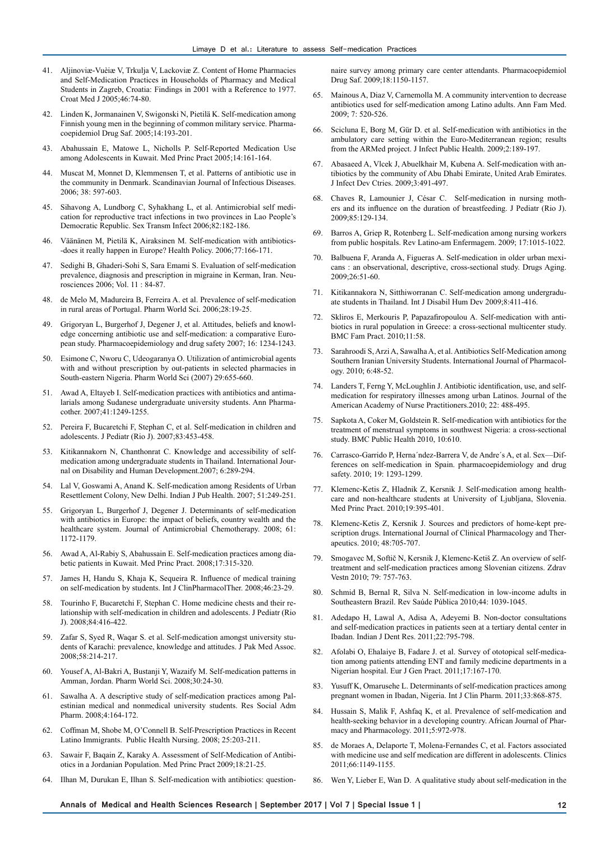- 41. Aljinoviæ-Vuèiæ V, Trkulja V, Lackoviæ Z. Content of Home Pharmacies and Self-Medication Practices in Households of Pharmacy and Medical Students in Zagreb, Croatia: Findings in 2001 with a Reference to 1977. Croat Med J 2005;46:74-80.
- 42. Linden K, Jormanainen V, Swigonski N, Pietilä K. Self-medication among Finnish young men in the beginning of common military service. Pharmacoepidemiol Drug Saf. 2005;14:193-201.
- 43. Abahussain E, Matowe L, Nicholls P. Self-Reported Medication Use among Adolescents in Kuwait. Med Princ Pract 2005;14:161-164.
- 44. Muscat M, Monnet D, Klemmensen T, et al. Patterns of antibiotic use in the community in Denmark. Scandinavian Journal of Infectious Diseases. 2006; 38: 597-603.
- 45. Sihavong A, Lundborg C, Syhakhang L, et al. Antimicrobial self medication for reproductive tract infections in two provinces in Lao People's Democratic Republic. Sex Transm Infect 2006;82:182-186.
- 46. Väänänen M, Pietilä K, Airaksinen M. Self-medication with antibiotics- -does it really happen in Europe? Health Policy. 2006;77:166-171.
- 47. Sedighi B, Ghaderi-Sohi S, Sara Emami S. Evaluation of self-medication prevalence, diagnosis and prescription in migraine in Kerman, Iran. Neurosciences 2006; Vol. 11 : 84-87.
- 48. de Melo M, Madureira B, Ferreira A. et al. Prevalence of self-medication in rural areas of Portugal. Pharm World Sci. 2006;28:19-25.
- 49. Grigoryan L, Burgerhof J, Degener J, et al. Attitudes, beliefs and knowledge concerning antibiotic use and self-medication: a comparative European study. Pharmacoepidemiology and drug safety 2007; 16: 1234-1243.
- 50. Esimone C, Nworu C, Udeogaranya O. Utilization of antimicrobial agents with and without prescription by out-patients in selected pharmacies in South-eastern Nigeria. Pharm World Sci (2007) 29:655-660.
- 51. Awad A, Eltayeb I. Self-medication practices with antibiotics and antimalarials among Sudanese undergraduate university students. Ann Pharmacother. 2007;41:1249-1255.
- 52. Pereira F, Bucaretchi F, Stephan C, et al. Self-medication in children and adolescents. J Pediatr (Rio J). 2007;83:453-458.
- 53. Kitikannakorn N, Chanthonrat C. Knowledge and accessibility of selfmedication among undergraduate students in Thailand. International Journal on Disability and Human Development.2007; 6:289-294.
- 54. Lal V, Goswami A, Anand K. Self-medication among Residents of Urban Resettlement Colony, New Delhi. Indian J Pub Health. 2007; 51:249-251.
- 55. Grigoryan L, Burgerhof J, Degener J. Determinants of self-medication with antibiotics in Europe: the impact of beliefs, country wealth and the healthcare system. Journal of Antimicrobial Chemotherapy. 2008; 61: 1172-1179.
- 56. Awad A, Al-Rabiy S, Abahussain E. Self-medication practices among diabetic patients in Kuwait. Med Princ Pract. 2008;17:315-320.
- 57. James H, Handu S, Khaja K, Sequeira R. Influence of medical training on self-medication by students. Int J ClinPharmacolTher. 2008;46:23-29.
- 58. Tourinho F, Bucaretchi F, Stephan C. Home medicine chests and their relationship with self-medication in children and adolescents. J Pediatr (Rio J). 2008;84:416-422.
- 59. Zafar S, Syed R, Waqar S. et al. Self-medication amongst university students of Karachi: prevalence, knowledge and attitudes. J Pak Med Assoc. 2008;58:214-217.
- 60. Yousef A, Al-Bakri A, Bustanji Y, Wazaify M. Self-medication patterns in Amman, Jordan. Pharm World Sci. 2008;30:24-30.
- 61. Sawalha A. A descriptive study of self-medication practices among Palestinian medical and nonmedical university students. Res Social Adm Pharm. 2008;4:164-172.
- 62. Coffman M, Shobe M, O'Connell B. Self-Prescription Practices in Recent Latino Immigrants. Public Health Nursing. 2008; 25:203-211.
- 63. Sawair F, Baqain Z, Karaky A. Assessment of Self-Medication of Antibiotics in a Jordanian Population. Med Princ Pract 2009;18:21-25.
- 64. Ilhan M, Durukan E, Ilhan S. Self-medication with antibiotics: question-

naire survey among primary care center attendants. Pharmacoepidemiol Drug Saf. 2009;18:1150-1157.

- 65. Mainous A, Diaz V, Carnemolla M. A community intervention to decrease antibiotics used for self-medication among Latino adults. Ann Fam Med. 2009; 7: 520-526.
- 66. Scicluna E, Borg M, Gür D. et al. Self-medication with antibiotics in the ambulatory care setting within the Euro-Mediterranean region; results from the ARMed project. J Infect Public Health. 2009;2:189-197.
- 67. Abasaeed A, Vlcek J, Abuelkhair M, Kubena A. Self-medication with antibiotics by the community of Abu Dhabi Emirate, United Arab Emirates. J Infect Dev Ctries. 2009;3:491-497.
- Chaves R, Lamounier J, César C. Self-medication in nursing mothers and its influence on the duration of breastfeeding. J Pediatr (Rio J). 2009;85:129-134.
- 69. Barros A, Griep R, Rotenberg L. Self-medication among nursing workers from public hospitals. Rev Latino-am Enfermagem. 2009; 17:1015-1022.
- 70. Balbuena F, Aranda A, Figueras A. Self-medication in older urban mexicans : an observational, descriptive, cross-sectional study. Drugs Aging. 2009;26:51-60.
- 71. Kitikannakora N, Sitthiworranan C. Self-medication among undergraduate students in Thailand. Int J Disabil Hum Dev 2009;8:411-416.
- 72. Skliros E, Merkouris P, Papazafiropoulou A. Self-medication with antibiotics in rural population in Greece: a cross-sectional multicenter study. BMC Fam Pract. 2010;11:58.
- Sarahroodi S, Arzi A, Sawalha A, et al. Antibiotics Self-Medication among Southern Iranian University Students. International Journal of Pharmacology. 2010; 6:48-52.
- 74. Landers T, Ferng Y, McLoughlin J. Antibiotic identification, use, and selfmedication for respiratory illnesses among urban Latinos. Journal of the American Academy of Nurse Practitioners.2010; 22: 488-495.
- 75. Sapkota A, Coker M, Goldstein R. Self-medication with antibiotics for the treatment of menstrual symptoms in southwest Nigeria: a cross-sectional study. BMC Public Health 2010, 10:610.
- 76. Carrasco-Garrido P, Herna´ndez-Barrera V, de Andre´s A, et al. Sex—Differences on self-medication in Spain. pharmacoepidemiology and drug safety. 2010; 19: 1293-1299.
- Klemenc-Ketis Z, Hladnik Z, Kersnik J. Self-medication among healthcare and non-healthcare students at University of Ljubljana, Slovenia. Med Princ Pract. 2010;19:395-401.
- Klemenc-Ketis Z, Kersnik J. Sources and predictors of home-kept prescription drugs. International Journal of Clinical Pharmacology and Therapeutics. 2010; 48:705-707.
- 79. Smogavec M, Softič N, Kersnik J, Klemenc-Ketiš Z. An overview of selftreatment and self-medication practices among Slovenian citizens. Zdrav Vestn 2010; 79: 757-763.
- 80. Schmid B, Bernal R, Silva N. Self-medication in low-income adults in Southeastern Brazil. Rev Saúde Pública 2010;44: 1039-1045.
- 81. Adedapo H, Lawal A, Adisa A, Adeyemi B. Non-doctor consultations and self-medication practices in patients seen at a tertiary dental center in Ibadan. Indian J Dent Res. 2011;22:795-798.
- 82. Afolabi O, Ehalaiye B, Fadare J. et al. Survey of ototopical self-medication among patients attending ENT and family medicine departments in a Nigerian hospital. Eur J Gen Pract. 2011;17:167-170.
- 83. Yusuff K, Omarusehe L. Determinants of self-medication practices among pregnant women in Ibadan, Nigeria. Int J Clin Pharm. 2011;33:868-875.
- 84. Hussain S, Malik F, Ashfaq K, et al. Prevalence of self-medication and health-seeking behavior in a developing country. African Journal of Pharmacy and Pharmacology. 2011;5:972-978.
- de Moraes A, Delaporte T, Molena-Fernandes C, et al. Factors associated with medicine use and self medication are different in adolescents. Clinics 2011;66:1149-1155.
- 86. Wen Y, Lieber E, Wan D. A qualitative study about self-medication in the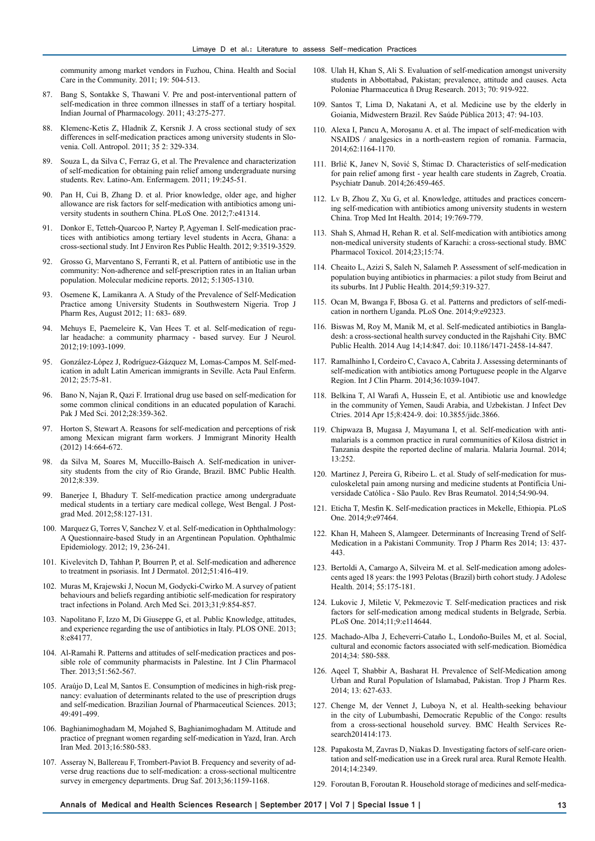community among market vendors in Fuzhou, China. Health and Social Care in the Community. 2011; 19: 504-513.

- 87. Bang S, Sontakke S, Thawani V. Pre and post-interventional pattern of self-medication in three common illnesses in staff of a tertiary hospital. Indian Journal of Pharmacology. 2011; 43:275-277.
- 88. Klemenc-Ketis Z, Hladnik Z, Kersnik J. A cross sectional study of sex differences in self-medication practices among university students in Slovenia. Coll. Antropol. 2011; 35 2: 329-334.
- 89. Souza L, da Silva C, Ferraz G, et al. The Prevalence and characterization of self-medication for obtaining pain relief among undergraduate nursing students. Rev. Latino-Am. Enfermagem. 2011; 19:245-51.
- 90. Pan H, Cui B, Zhang D. et al. Prior knowledge, older age, and higher allowance are risk factors for self-medication with antibiotics among university students in southern China. PLoS One. 2012;7:e41314.
- 91. Donkor E, Tetteh-Quarcoo P, Nartey P, Agyeman I. Self-medication practices with antibiotics among tertiary level students in Accra, Ghana: a cross-sectional study. Int J Environ Res Public Health. 2012; 9:3519-3529.
- 92. Grosso G, Marventano S, Ferranti R, et al. Pattern of antibiotic use in the community: Νon-adherence and self-prescription rates in an Italian urban population. Molecular medicine reports. 2012; 5:1305-1310.
- 93. Osemene K, Lamikanra A. A Study of the Prevalence of Self-Medication Practice among University Students in Southwestern Nigeria. Trop J Pharm Res, August 2012; 11: 683- 689.
- 94. Mehuys E, Paemeleire K, Van Hees T. et al. Self-medication of regular headache: a community pharmacy - based survey. Eur J Neurol. 2012;19:1093-1099.
- 95. González-López J, Rodríguez-Gázquez M, Lomas-Campos M. Self-medication in adult Latin American immigrants in Seville. Acta Paul Enferm. 2012; 25:75-81.
- 96. Bano N, Najan R, Qazi F. Irrational drug use based on self-medication for some common clinical conditions in an educated population of Karachi. Pak J Med Sci. 2012;28:359-362.
- 97. Horton S, Stewart A. Reasons for self-medication and perceptions of risk among Mexican migrant farm workers. J Immigrant Minority Health (2012) 14:664-672.
- 98. da Silva M, Soares M, Muccillo-Baisch A. Self-medication in university students from the city of Rio Grande, Brazil. BMC Public Health.  $2012.8.339$
- 99. Banerjee I, Bhadury T. Self-medication practice among undergraduate medical students in a tertiary care medical college, West Bengal. J Postgrad Med. 2012;58:127-131.
- 100. Marquez G, Torres V, Sanchez V. et al. Self-medication in Ophthalmology: A Questionnaire-based Study in an Argentinean Population. Ophthalmic Epidemiology. 2012; 19, 236-241.
- 101. Kivelevitch D, Tahhan P, Bourren P, et al. Self-medication and adherence to treatment in psoriasis. Int J Dermatol. 2012;51:416-419.
- 102. Muras M, Krajewski J, Nocun M, Godycki-Cwirko M. A survey of patient behaviours and beliefs regarding antibiotic self-medication for respiratory tract infections in Poland. Arch Med Sci. 2013;31;9:854-857.
- 103. Napolitano F, Izzo M, Di Giuseppe G, et al. Public Knowledge, attitudes, and experience regarding the use of antibiotics in Italy. PLOS ONE. 2013; 8:e84177.
- 104. Al-Ramahi R. Patterns and attitudes of self-medication practices and possible role of community pharmacists in Palestine. Int J Clin Pharmacol Ther. 2013;51:562-567.
- 105. Araújo D, Leal M, Santos E. Consumption of medicines in high-risk pregnancy: evaluation of determinants related to the use of prescription drugs and self-medication. Brazilian Journal of Pharmaceutical Sciences. 2013; 49:491-499.
- 106. Baghianimoghadam M, Mojahed S, Baghianimoghadam M. Attitude and practice of pregnant women regarding self-medication in Yazd, Iran. Arch Iran Med. 2013;16:580-583.
- 107. Asseray N, Ballereau F, Trombert-Paviot B. Frequency and severity of adverse drug reactions due to self-medication: a cross-sectional multicentre survey in emergency departments. Drug Saf. 2013;36:1159-1168.
- 108. Ulah H, Khan S, Ali S. Evaluation of self-medication amongst university students in Abbottabad, Pakistan; prevalence, attitude and causes. Acta Poloniae Pharmaceutica ñ Drug Research. 2013; 70: 919-922.
- 109. Santos T, Lima D, Nakatani A, et al. Medicine use by the elderly in Goiania, Midwestern Brazil. Rev Saúde Pública 2013; 47: 94-103.
- 110. Alexa I, Pancu A, Moroşanu A. et al. The impact of self-medication with NSAIDS / analgesics in a north-eastern region of romania. Farmacia, 2014;62:1164-1170.
- 111. Brlić K, Janev N, Sović S, Štimac D. Characteristics of self-medication for pain relief among first - year health care students in Zagreb, Croatia. Psychiatr Danub. 2014;26:459-465.
- 112. Lv B, Zhou Z, Xu G, et al. Knowledge, attitudes and practices concerning self-medication with antibiotics among university students in western China. Trop Med Int Health. 2014; 19:769-779.
- 113. Shah S, Ahmad H, Rehan R. et al. Self-medication with antibiotics among non-medical university students of Karachi: a cross-sectional study. BMC Pharmacol Toxicol. 2014;23;15:74.
- 114. Cheaito L, Azizi S, Saleh N, Salameh P. Assessment of self-medication in population buying antibiotics in pharmacies: a pilot study from Beirut and its suburbs. Int J Public Health. 2014;59:319-327.
- 115. Ocan M, Bwanga F, Bbosa G. et al. Patterns and predictors of self-medication in northern Uganda. PLoS One. 2014;9:e92323.
- 116. Biswas M, Roy M, Manik M, et al. Self-medicated antibiotics in Bangladesh: a cross-sectional health survey conducted in the Rajshahi City. BMC Public Health. 2014 Aug 14;14:847. doi: 10.1186/1471-2458-14-847.
- 117. Ramalhinho I, Cordeiro C, Cavaco A, Cabrita J. Assessing determinants of self-medication with antibiotics among Portuguese people in the Algarve Region. Int J Clin Pharm. 2014;36:1039-1047.
- 118. Belkina T, Al Warafi A, Hussein E, et al. Antibiotic use and knowledge in the community of Yemen, Saudi Arabia, and Uzbekistan. J Infect Dev Ctries. 2014 Apr 15;8:424-9. doi: 10.3855/jidc.3866.
- 119. Chipwaza B, Mugasa J, Mayumana I, et al. Self-medication with antimalarials is a common practice in rural communities of Kilosa district in Tanzania despite the reported decline of malaria. Malaria Journal. 2014; 13:252.
- 120. Martinez J, Pereira G, Ribeiro L. et al. Study of self-medication for musculoskeletal pain among nursing and medicine students at Pontifícia Universidade Católica - São Paulo. Rev Bras Reumatol. 2014;54:90-94.
- 121. Eticha T, Mesfin K. Self-medication practices in Mekelle, Ethiopia. PLoS One. 2014;9:e97464.
- 122. Khan H, Maheen S, Alamgeer. Determinants of Increasing Trend of Self-Medication in a Pakistani Community. Trop J Pharm Res 2014; 13: 437- 443.
- 123. Bertoldi A, Camargo A, Silveira M. et al. Self-medication among adolescents aged 18 years: the 1993 Pelotas (Brazil) birth cohort study. J Adolesc Health. 2014; 55:175-181.
- 124. Lukovic J, Miletic V, Pekmezovic T. Self-medication practices and risk factors for self-medication among medical students in Belgrade, Serbia. PLoS One. 2014;11;9:e114644.
- 125. Machado-Alba J, Echeverri-Cataño L, Londoño-Builes M, et al. Social, cultural and economic factors associated with self-medication. Biomédica 2014;34: 580-588.
- 126. Aqeel T, Shabbir A, Basharat H. Prevalence of Self-Medication among Urban and Rural Population of Islamabad, Pakistan. Trop J Pharm Res. 2014; 13: 627-633.
- 127. Chenge M, der Vennet J, Luboya N, et al. Health-seeking behaviour in the city of Lubumbashi, Democratic Republic of the Congo: results from a cross-sectional household survey. BMC Health Services Research201414:173.
- 128. Papakosta M, Zavras D, Niakas D. Investigating factors of self-care orientation and self-medication use in a Greek rural area. Rural Remote Health. 2014;14:2349.
- 129. Foroutan B, Foroutan R. Household storage of medicines and self-medica-